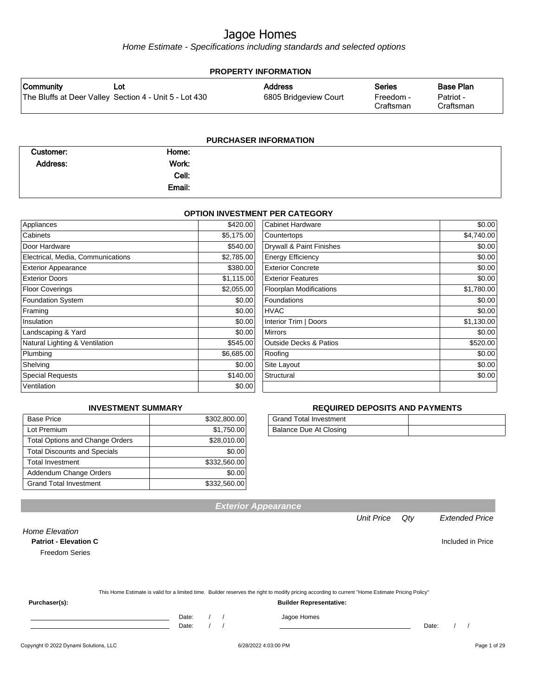Home Estimate - Specifications including standards and selected options

| <b>PROPERTY INFORMATION</b> |                                                        |                       |                        |                        |  |
|-----------------------------|--------------------------------------------------------|-----------------------|------------------------|------------------------|--|
| Community                   | Lot                                                    | <b>Address</b>        | <b>Series</b>          | <b>Base Plan</b>       |  |
|                             | The Bluffs at Deer Valley Section 4 - Unit 5 - Lot 430 | 6805 Bridgeview Court | Freedom -<br>Craftsman | Patriot -<br>Craftsman |  |
|                             |                                                        |                       |                        |                        |  |

| <b>PURCHASER INFORMATION</b> |        |  |  |  |
|------------------------------|--------|--|--|--|
| Customer:                    | Home:  |  |  |  |
| Address:                     | Work:  |  |  |  |
|                              | Cell:  |  |  |  |
|                              | Email: |  |  |  |

#### **OPTION INVESTMENT PER CATEGORY**

| Appliances                        | \$420.00   | Cabinet Hardware                  | \$0.00     |
|-----------------------------------|------------|-----------------------------------|------------|
| Cabinets                          | \$5,175.00 | Countertops                       | \$4,740.00 |
| Door Hardware                     | \$540.00   | Drywall & Paint Finishes          | \$0.00     |
| Electrical, Media, Communications | \$2,785.00 | <b>Energy Efficiency</b>          | \$0.00     |
| <b>Exterior Appearance</b>        | \$380.00   | <b>Exterior Concrete</b>          | \$0.00     |
| <b>Exterior Doors</b>             | \$1,115.00 | <b>Exterior Features</b>          | \$0.00     |
| <b>Floor Coverings</b>            | \$2,055.00 | <b>Floorplan Modifications</b>    | \$1,780.00 |
| <b>Foundation System</b>          | \$0.00     | <b>Foundations</b>                | \$0.00     |
| Framing                           | \$0.00     | <b>HVAC</b>                       | \$0.00     |
| Insulation                        | \$0.00     | Interior Trim   Doors             | \$1,130.00 |
| Landscaping & Yard                | \$0.00     | <b>Mirrors</b>                    | \$0.00     |
| Natural Lighting & Ventilation    | \$545.00   | <b>Outside Decks &amp; Patios</b> | \$520.00   |
| Plumbing                          | \$6,685.00 | Roofing                           | \$0.00     |
| Shelving                          | \$0.00     | Site Layout                       | \$0.00     |
| <b>Special Requests</b>           | \$140.00   | Structural                        | \$0.00     |
| Ventilation                       | \$0.00     |                                   |            |

#### **INVESTMENT SUMMARY**

| <b>Base Price</b>                      | \$302,800.00 |
|----------------------------------------|--------------|
| Lot Premium                            | \$1,750.00   |
| <b>Total Options and Change Orders</b> | \$28,010.00  |
| <b>Total Discounts and Specials</b>    | \$0.00       |
| <b>Total Investment</b>                | \$332,560.00 |
| Addendum Change Orders                 | \$0.00       |
| <b>Grand Total Investment</b>          | \$332,560.00 |

#### **REQUIRED DEPOSITS AND PAYMENTS**

| <b>Grand Total Investment</b> |  |
|-------------------------------|--|
| Balance Due At Closing        |  |

| <b>Patriot - Elevation C</b> |                                                                                                                                                  | Included in Price |
|------------------------------|--------------------------------------------------------------------------------------------------------------------------------------------------|-------------------|
| <b>Freedom Series</b>        |                                                                                                                                                  |                   |
|                              |                                                                                                                                                  |                   |
|                              | This Home Estimate is valid for a limited time. Builder reserves the right to modify pricing according to current "Home Estimate Pricing Policy" |                   |
| Purchaser(s):                | <b>Builder Representative:</b>                                                                                                                   |                   |
|                              | Jagoe Homes<br>Date:                                                                                                                             |                   |

**Exterior Appearance**

Copyright © 2022 Dynami Solutions, LLC <br>
G/28/2022 4:03:00 PM 601 06 6028/2022 4:03:00 PM Page 1 of 29

Home Elevation

Date: / / Date: / /

agoe Homes

Unit Price Qty Extended Price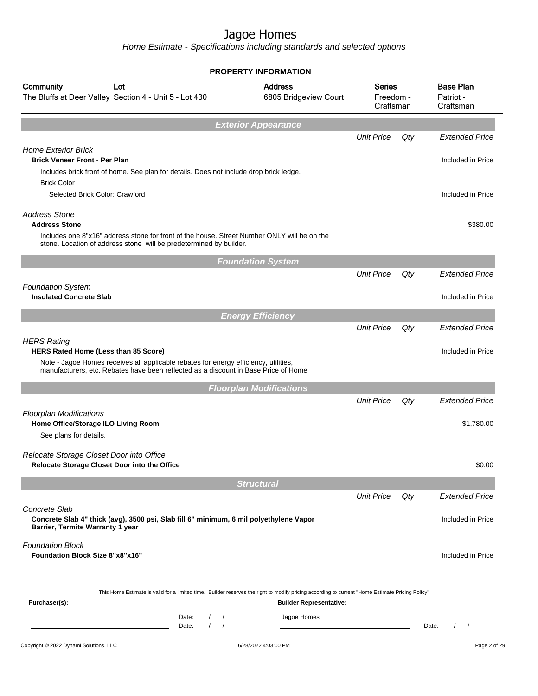|                                                                                                                                                                             | <b>PROPERTY INFORMATION</b>             |                                         |     |                                            |
|-----------------------------------------------------------------------------------------------------------------------------------------------------------------------------|-----------------------------------------|-----------------------------------------|-----|--------------------------------------------|
| Community<br>Lot<br>The Bluffs at Deer Valley Section 4 - Unit 5 - Lot 430                                                                                                  | <b>Address</b><br>6805 Bridgeview Court | <b>Series</b><br>Freedom -<br>Craftsman |     | <b>Base Plan</b><br>Patriot -<br>Craftsman |
|                                                                                                                                                                             | <b>Exterior Appearance</b>              |                                         |     |                                            |
|                                                                                                                                                                             |                                         | <b>Unit Price</b>                       | Qty | <b>Extended Price</b>                      |
| <b>Home Exterior Brick</b>                                                                                                                                                  |                                         |                                         |     |                                            |
| <b>Brick Veneer Front - Per Plan</b><br>Includes brick front of home. See plan for details. Does not include drop brick ledge.                                              |                                         |                                         |     | Included in Price                          |
| <b>Brick Color</b>                                                                                                                                                          |                                         |                                         |     |                                            |
| Selected Brick Color: Crawford                                                                                                                                              |                                         |                                         |     | Included in Price                          |
| <b>Address Stone</b>                                                                                                                                                        |                                         |                                         |     |                                            |
| <b>Address Stone</b>                                                                                                                                                        |                                         |                                         |     | \$380.00                                   |
| Includes one 8"x16" address stone for front of the house. Street Number ONLY will be on the<br>stone. Location of address stone will be predetermined by builder.           |                                         |                                         |     |                                            |
|                                                                                                                                                                             | <b>Foundation System</b>                |                                         |     |                                            |
|                                                                                                                                                                             |                                         | <b>Unit Price</b>                       | Qty | <b>Extended Price</b>                      |
| <b>Foundation System</b>                                                                                                                                                    |                                         |                                         |     |                                            |
| <b>Insulated Concrete Slab</b>                                                                                                                                              |                                         |                                         |     | Included in Price                          |
|                                                                                                                                                                             | <b>Energy Efficiency</b>                |                                         |     |                                            |
|                                                                                                                                                                             |                                         | <b>Unit Price</b>                       | Qty | <b>Extended Price</b>                      |
| <b>HERS Rating</b><br>HERS Rated Home (Less than 85 Score)                                                                                                                  |                                         |                                         |     | Included in Price                          |
| Note - Jagoe Homes receives all applicable rebates for energy efficiency, utilities,<br>manufacturers, etc. Rebates have been reflected as a discount in Base Price of Home |                                         |                                         |     |                                            |
|                                                                                                                                                                             | <b>Floorplan Modifications</b>          |                                         |     |                                            |
|                                                                                                                                                                             |                                         | <b>Unit Price</b>                       | Qty | <b>Extended Price</b>                      |
| <b>Floorplan Modifications</b>                                                                                                                                              |                                         |                                         |     |                                            |
| Home Office/Storage ILO Living Room                                                                                                                                         |                                         |                                         |     | \$1,780.00                                 |
| See plans for details.                                                                                                                                                      |                                         |                                         |     |                                            |
| Relocate Storage Closet Door into Office                                                                                                                                    |                                         |                                         |     |                                            |
| Relocate Storage Closet Door into the Office                                                                                                                                |                                         |                                         |     | \$0.00                                     |
|                                                                                                                                                                             | <b>Structural</b>                       |                                         |     |                                            |
|                                                                                                                                                                             |                                         | <b>Unit Price</b>                       | Qty | <b>Extended Price</b>                      |
| Concrete Slab<br>Concrete Slab 4" thick (avg), 3500 psi, Slab fill 6" minimum, 6 mil polyethylene Vapor                                                                     |                                         |                                         |     | Included in Price                          |
| Barrier, Termite Warranty 1 year                                                                                                                                            |                                         |                                         |     |                                            |
| <b>Foundation Block</b>                                                                                                                                                     |                                         |                                         |     |                                            |
| <b>Foundation Block Size 8"x8"x16"</b>                                                                                                                                      |                                         |                                         |     | Included in Price                          |
|                                                                                                                                                                             |                                         |                                         |     |                                            |
| This Home Estimate is valid for a limited time. Builder reserves the right to modify pricing according to current "Home Estimate Pricing Policy"                            |                                         |                                         |     |                                            |
| Purchaser(s):                                                                                                                                                               | <b>Builder Representative:</b>          |                                         |     |                                            |
| Date:<br>$\sqrt{2}$<br>$\prime$<br><u> 1989 - Johann Barn, mars eta inperiodo</u>                                                                                           | Jagoe Homes                             |                                         |     |                                            |
| $\prime$<br>$\prime$<br>Date:                                                                                                                                               |                                         |                                         |     | Date:<br>$\prime$                          |
| Copyright © 2022 Dynami Solutions, LLC                                                                                                                                      | 6/28/2022 4:03:00 PM                    |                                         |     | Page 2 of 29                               |
|                                                                                                                                                                             |                                         |                                         |     |                                            |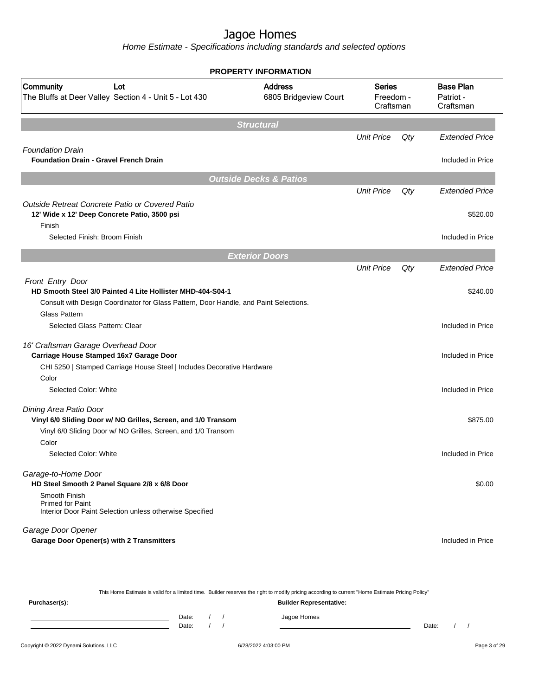Home Estimate - Specifications including standards and selected options

| <b>PROPERTY INFORMATION</b>                                                                   |                                         |                                  |     |                                            |
|-----------------------------------------------------------------------------------------------|-----------------------------------------|----------------------------------|-----|--------------------------------------------|
| Community<br>Lot<br>The Bluffs at Deer Valley Section 4 - Unit 5 - Lot 430                    | <b>Address</b><br>6805 Bridgeview Court | Series<br>Freedom -<br>Craftsman |     | <b>Base Plan</b><br>Patriot -<br>Craftsman |
|                                                                                               | <b>Structural</b>                       |                                  |     |                                            |
|                                                                                               |                                         | <b>Unit Price</b>                | Qty | <b>Extended Price</b>                      |
| <b>Foundation Drain</b><br><b>Foundation Drain - Gravel French Drain</b>                      |                                         |                                  |     | Included in Price                          |
|                                                                                               |                                         |                                  |     |                                            |
|                                                                                               | <b>Outside Decks &amp; Patios</b>       | <b>Unit Price</b>                | Qty | <b>Extended Price</b>                      |
| Outside Retreat Concrete Patio or Covered Patio                                               |                                         |                                  |     |                                            |
| 12' Wide x 12' Deep Concrete Patio, 3500 psi<br>Finish                                        |                                         |                                  |     | \$520.00                                   |
| Selected Finish: Broom Finish                                                                 |                                         |                                  |     | Included in Price                          |
|                                                                                               | <b>Exterior Doors</b>                   |                                  |     |                                            |
|                                                                                               |                                         | <b>Unit Price</b>                | Qty | <b>Extended Price</b>                      |
| Front Entry Door                                                                              |                                         |                                  |     |                                            |
| HD Smooth Steel 3/0 Painted 4 Lite Hollister MHD-404-S04-1                                    |                                         |                                  |     | \$240.00                                   |
| Consult with Design Coordinator for Glass Pattern, Door Handle, and Paint Selections.         |                                         |                                  |     |                                            |
| <b>Glass Pattern</b>                                                                          |                                         |                                  |     |                                            |
| Selected Glass Pattern: Clear                                                                 |                                         |                                  |     | Included in Price                          |
| 16' Craftsman Garage Overhead Door<br>Carriage House Stamped 16x7 Garage Door                 |                                         |                                  |     | Included in Price                          |
| CHI 5250   Stamped Carriage House Steel   Includes Decorative Hardware                        |                                         |                                  |     |                                            |
| Color                                                                                         |                                         |                                  |     |                                            |
| Selected Color: White                                                                         |                                         |                                  |     | Included in Price                          |
| Dining Area Patio Door<br>Vinyl 6/0 Sliding Door w/ NO Grilles, Screen, and 1/0 Transom       |                                         |                                  |     | \$875.00                                   |
| Vinyl 6/0 Sliding Door w/ NO Grilles, Screen, and 1/0 Transom                                 |                                         |                                  |     |                                            |
| Color                                                                                         |                                         |                                  |     |                                            |
| Selected Color: White                                                                         |                                         |                                  |     | Included in Price                          |
| Garage-to-Home Door<br>HD Steel Smooth 2 Panel Square 2/8 x 6/8 Door                          |                                         |                                  |     | \$0.00                                     |
| Smooth Finish<br>Primed for Paint<br>Interior Door Paint Selection unless otherwise Specified |                                         |                                  |     |                                            |
| Garage Door Opener                                                                            |                                         |                                  |     |                                            |
| <b>Garage Door Opener(s) with 2 Transmitters</b>                                              |                                         |                                  |     | Included in Price                          |

This Home Estimate is valid for a limited time. Builder reserves the right to modify pricing according to current "Home Estimate Pricing Policy" **Purchaser(s): Builder Representative:** Date: / / Jagoe Homes<br>Date: / / Jagoe Homes Date: / / Date: / /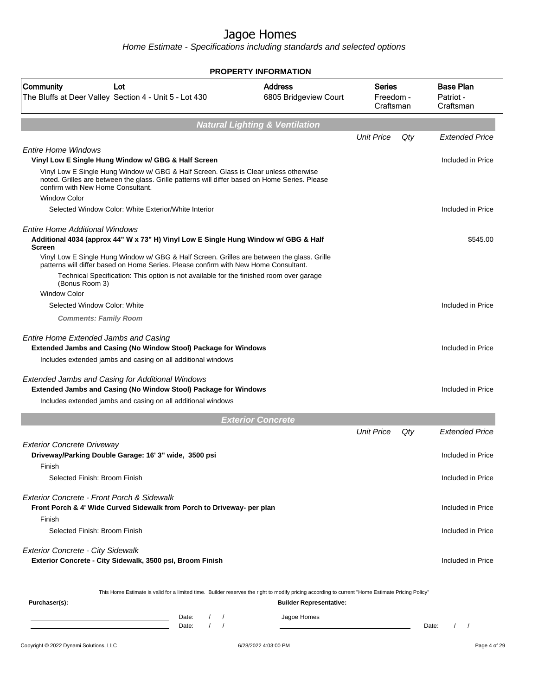|                                                                                                                                                                                                                                                    |                                                                                         | <b>PROPERTY INFORMATION</b>                                                                                                                                                        |                                  |     |                                            |
|----------------------------------------------------------------------------------------------------------------------------------------------------------------------------------------------------------------------------------------------------|-----------------------------------------------------------------------------------------|------------------------------------------------------------------------------------------------------------------------------------------------------------------------------------|----------------------------------|-----|--------------------------------------------|
| Community<br>Lot<br>The Bluffs at Deer Valley Section 4 - Unit 5 - Lot 430                                                                                                                                                                         |                                                                                         | <b>Address</b><br>6805 Bridgeview Court                                                                                                                                            | Series<br>Freedom -<br>Craftsman |     | <b>Base Plan</b><br>Patriot -<br>Craftsman |
|                                                                                                                                                                                                                                                    |                                                                                         | <b>Natural Lighting &amp; Ventilation</b>                                                                                                                                          |                                  |     |                                            |
|                                                                                                                                                                                                                                                    |                                                                                         |                                                                                                                                                                                    | <b>Unit Price</b>                | Qty | <b>Extended Price</b>                      |
| <b>Entire Home Windows</b><br>Vinyl Low E Single Hung Window w/ GBG & Half Screen                                                                                                                                                                  |                                                                                         |                                                                                                                                                                                    |                                  |     | Included in Price                          |
| Vinyl Low E Single Hung Window w/ GBG & Half Screen. Glass is Clear unless otherwise<br>noted. Grilles are between the glass. Grille patterns will differ based on Home Series. Please<br>confirm with New Home Consultant.<br><b>Window Color</b> |                                                                                         |                                                                                                                                                                                    |                                  |     |                                            |
| Selected Window Color: White Exterior/White Interior                                                                                                                                                                                               |                                                                                         |                                                                                                                                                                                    |                                  |     | Included in Price                          |
| <b>Entire Home Additional Windows</b><br>Additional 4034 (approx 44" W x 73" H) Vinyl Low E Single Hung Window w/ GBG & Half<br><b>Screen</b>                                                                                                      |                                                                                         |                                                                                                                                                                                    |                                  |     | \$545.00                                   |
| Vinyl Low E Single Hung Window w/ GBG & Half Screen. Grilles are between the glass. Grille<br>patterns will differ based on Home Series. Please confirm with New Home Consultant.<br>(Bonus Room 3)                                                | Technical Specification: This option is not available for the finished room over garage |                                                                                                                                                                                    |                                  |     |                                            |
| <b>Window Color</b>                                                                                                                                                                                                                                |                                                                                         |                                                                                                                                                                                    |                                  |     |                                            |
| Selected Window Color: White                                                                                                                                                                                                                       |                                                                                         |                                                                                                                                                                                    |                                  |     | Included in Price                          |
| <b>Comments: Family Room</b>                                                                                                                                                                                                                       |                                                                                         |                                                                                                                                                                                    |                                  |     |                                            |
| <b>Entire Home Extended Jambs and Casing</b><br><b>Extended Jambs and Casing (No Window Stool) Package for Windows</b>                                                                                                                             |                                                                                         |                                                                                                                                                                                    |                                  |     | Included in Price                          |
| Includes extended jambs and casing on all additional windows                                                                                                                                                                                       |                                                                                         |                                                                                                                                                                                    |                                  |     |                                            |
| <b>Extended Jambs and Casing for Additional Windows</b><br><b>Extended Jambs and Casing (No Window Stool) Package for Windows</b>                                                                                                                  |                                                                                         |                                                                                                                                                                                    |                                  |     | Included in Price                          |
| Includes extended jambs and casing on all additional windows                                                                                                                                                                                       |                                                                                         |                                                                                                                                                                                    |                                  |     |                                            |
|                                                                                                                                                                                                                                                    |                                                                                         | <b>Exterior Concrete</b>                                                                                                                                                           |                                  |     |                                            |
|                                                                                                                                                                                                                                                    |                                                                                         |                                                                                                                                                                                    | <b>Unit Price</b>                | Qty | <b>Extended Price</b>                      |
| <b>Exterior Concrete Driveway</b><br>Driveway/Parking Double Garage: 16' 3" wide, 3500 psi                                                                                                                                                         |                                                                                         |                                                                                                                                                                                    |                                  |     | Included in Price                          |
| Finish<br>Selected Finish: Broom Finish                                                                                                                                                                                                            |                                                                                         |                                                                                                                                                                                    |                                  |     | Included in Price                          |
| Exterior Concrete - Front Porch & Sidewalk<br>Front Porch & 4' Wide Curved Sidewalk from Porch to Driveway- per plan<br>Finish                                                                                                                     |                                                                                         |                                                                                                                                                                                    |                                  |     | Included in Price                          |
| Selected Finish: Broom Finish                                                                                                                                                                                                                      |                                                                                         |                                                                                                                                                                                    |                                  |     | Included in Price                          |
| <b>Exterior Concrete - City Sidewalk</b><br>Exterior Concrete - City Sidewalk, 3500 psi, Broom Finish                                                                                                                                              |                                                                                         |                                                                                                                                                                                    |                                  |     | Included in Price                          |
| Purchaser(s):                                                                                                                                                                                                                                      |                                                                                         | This Home Estimate is valid for a limited time. Builder reserves the right to modify pricing according to current "Home Estimate Pricing Policy"<br><b>Builder Representative:</b> |                                  |     |                                            |
|                                                                                                                                                                                                                                                    | Date:<br>Date:                                                                          | Jagoe Homes                                                                                                                                                                        |                                  |     | $\sqrt{ }$<br>Date:<br>$\prime$            |
| Copyright © 2022 Dynami Solutions, LLC                                                                                                                                                                                                             |                                                                                         | 6/28/2022 4:03:00 PM                                                                                                                                                               |                                  |     | Page 4 of 29                               |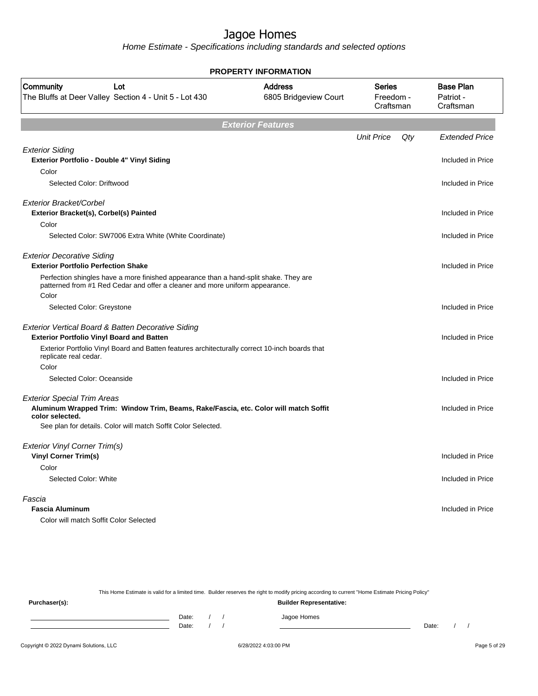Home Estimate - Specifications including standards and selected options

|                                                                                                                                                                       | <b>PROPERTY INFORMATION</b>             |                                         |     |                                            |
|-----------------------------------------------------------------------------------------------------------------------------------------------------------------------|-----------------------------------------|-----------------------------------------|-----|--------------------------------------------|
| Community<br>Lot<br>The Bluffs at Deer Valley Section 4 - Unit 5 - Lot 430                                                                                            | <b>Address</b><br>6805 Bridgeview Court | <b>Series</b><br>Freedom -<br>Craftsman |     | <b>Base Plan</b><br>Patriot -<br>Craftsman |
|                                                                                                                                                                       | <b>Exterior Features</b>                |                                         |     |                                            |
|                                                                                                                                                                       |                                         | <b>Unit Price</b>                       | Qty | <b>Extended Price</b>                      |
| <b>Exterior Siding</b><br>Exterior Portfolio - Double 4" Vinyl Siding                                                                                                 |                                         |                                         |     | Included in Price                          |
| Color                                                                                                                                                                 |                                         |                                         |     |                                            |
| Selected Color: Driftwood                                                                                                                                             |                                         |                                         |     | Included in Price                          |
| Exterior Bracket/Corbel<br>Exterior Bracket(s), Corbel(s) Painted                                                                                                     |                                         |                                         |     | Included in Price                          |
| Color                                                                                                                                                                 |                                         |                                         |     |                                            |
| Selected Color: SW7006 Extra White (White Coordinate)                                                                                                                 |                                         |                                         |     | Included in Price                          |
| <b>Exterior Decorative Siding</b><br><b>Exterior Portfolio Perfection Shake</b>                                                                                       |                                         |                                         |     | Included in Price                          |
| Perfection shingles have a more finished appearance than a hand-split shake. They are<br>patterned from #1 Red Cedar and offer a cleaner and more uniform appearance. |                                         |                                         |     |                                            |
| Color                                                                                                                                                                 |                                         |                                         |     |                                            |
| Selected Color: Greystone                                                                                                                                             |                                         |                                         |     | Included in Price                          |
| Exterior Vertical Board & Batten Decorative Siding                                                                                                                    |                                         |                                         |     |                                            |
| <b>Exterior Portfolio Vinyl Board and Batten</b>                                                                                                                      |                                         |                                         |     | Included in Price                          |
| Exterior Portfolio Vinyl Board and Batten features architecturally correct 10-inch boards that<br>replicate real cedar.                                               |                                         |                                         |     |                                            |
| Color                                                                                                                                                                 |                                         |                                         |     |                                            |
| Selected Color: Oceanside                                                                                                                                             |                                         |                                         |     | Included in Price                          |
| <b>Exterior Special Trim Areas</b><br>Aluminum Wrapped Trim: Window Trim, Beams, Rake/Fascia, etc. Color will match Soffit<br>color selected.                         |                                         |                                         |     | Included in Price                          |
| See plan for details. Color will match Soffit Color Selected.                                                                                                         |                                         |                                         |     |                                            |
| Exterior Vinyl Corner Trim(s)                                                                                                                                         |                                         |                                         |     |                                            |
| <b>Vinyl Corner Trim(s)</b>                                                                                                                                           |                                         |                                         |     | Included in Price                          |
| Color                                                                                                                                                                 |                                         |                                         |     |                                            |
| Selected Color: White                                                                                                                                                 |                                         |                                         |     | Included in Price                          |
| Fascia                                                                                                                                                                |                                         |                                         |     |                                            |
| <b>Fascia Aluminum</b>                                                                                                                                                |                                         |                                         |     | Included in Price                          |
| Color will match Soffit Color Selected                                                                                                                                |                                         |                                         |     |                                            |

This Home Estimate is valid for a limited time. Builder reserves the right to modify pricing according to current "Home Estimate Pricing Policy" **Purchaser(s): Builder Representative:** Date: / / Jagoe Homes<br>Date: / / Jagoe Homes Date: / / **Date: / / 2006** Date: / / / Date: / / /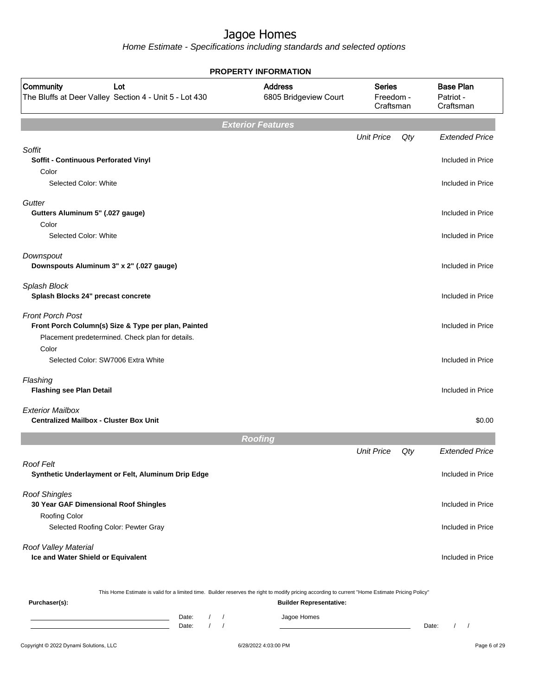Home Estimate - Specifications including standards and selected options

|                                                                                                                                    | <b>PROPERTY INFORMATION</b>                                                                                                                      |                                         |     |                                            |
|------------------------------------------------------------------------------------------------------------------------------------|--------------------------------------------------------------------------------------------------------------------------------------------------|-----------------------------------------|-----|--------------------------------------------|
| <b>Community</b><br>Lot<br>The Bluffs at Deer Valley Section 4 - Unit 5 - Lot 430                                                  | <b>Address</b><br>6805 Bridgeview Court                                                                                                          | <b>Series</b><br>Freedom -<br>Craftsman |     | <b>Base Plan</b><br>Patriot -<br>Craftsman |
|                                                                                                                                    | <b>Exterior Features</b>                                                                                                                         |                                         |     |                                            |
|                                                                                                                                    |                                                                                                                                                  | <b>Unit Price</b>                       | Qty | <b>Extended Price</b>                      |
| Soffit<br>Soffit - Continuous Perforated Vinyl<br>Color                                                                            |                                                                                                                                                  |                                         |     | Included in Price                          |
| Selected Color: White                                                                                                              |                                                                                                                                                  |                                         |     | Included in Price                          |
| Gutter<br>Gutters Aluminum 5" (.027 gauge)<br>Color                                                                                |                                                                                                                                                  |                                         |     | Included in Price                          |
| Selected Color: White                                                                                                              |                                                                                                                                                  |                                         |     | Included in Price                          |
| Downspout<br>Downspouts Aluminum 3" x 2" (.027 gauge)                                                                              |                                                                                                                                                  |                                         |     | Included in Price                          |
| Splash Block<br>Splash Blocks 24" precast concrete                                                                                 |                                                                                                                                                  |                                         |     | Included in Price                          |
| <b>Front Porch Post</b><br>Front Porch Column(s) Size & Type per plan, Painted<br>Placement predetermined. Check plan for details. |                                                                                                                                                  |                                         |     | Included in Price                          |
| Color<br>Selected Color: SW7006 Extra White                                                                                        |                                                                                                                                                  |                                         |     | Included in Price                          |
| Flashing<br><b>Flashing see Plan Detail</b>                                                                                        |                                                                                                                                                  |                                         |     | Included in Price                          |
| <b>Exterior Mailbox</b><br><b>Centralized Mailbox - Cluster Box Unit</b>                                                           |                                                                                                                                                  |                                         |     | \$0.00                                     |
|                                                                                                                                    | <b>Roofing</b>                                                                                                                                   |                                         |     |                                            |
|                                                                                                                                    |                                                                                                                                                  | <b>Unit Price</b>                       | Qty | <b>Extended Price</b>                      |
| <b>Roof Felt</b><br>Synthetic Underlayment or Felt, Aluminum Drip Edge                                                             |                                                                                                                                                  |                                         |     | Included in Price                          |
| <b>Roof Shingles</b><br>30 Year GAF Dimensional Roof Shingles                                                                      |                                                                                                                                                  |                                         |     | Included in Price                          |
| Roofing Color<br>Selected Roofing Color: Pewter Gray                                                                               |                                                                                                                                                  |                                         |     | Included in Price                          |
| Roof Valley Material<br>Ice and Water Shield or Equivalent                                                                         |                                                                                                                                                  |                                         |     | Included in Price                          |
|                                                                                                                                    | This Home Estimate is valid for a limited time. Builder reserves the right to modify pricing according to current "Home Estimate Pricing Policy" |                                         |     |                                            |
| Purchaser(s):<br><b>Builder Representative:</b>                                                                                    |                                                                                                                                                  |                                         |     |                                            |

Date: / / Jagoe Homes<br>Date: / / Jagoe Homes Date: / / Date: / /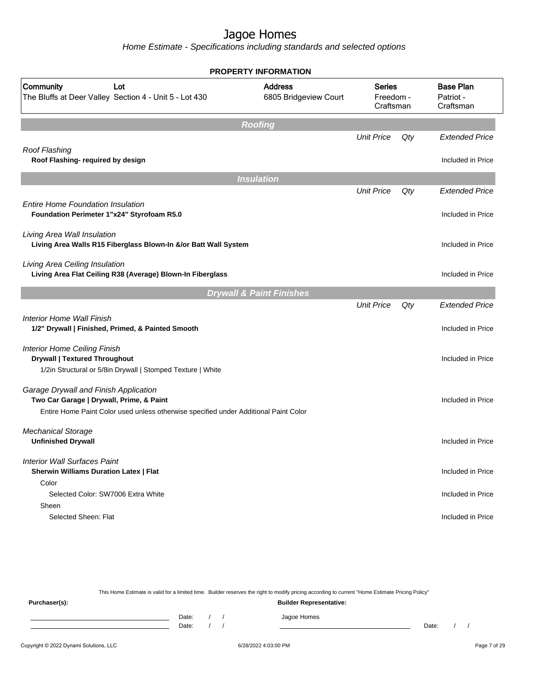Home Estimate - Specifications including standards and selected options

|                                                                                                                                                                           | <b>PROPERTY INFORMATION</b>             |                                         |     |                                            |
|---------------------------------------------------------------------------------------------------------------------------------------------------------------------------|-----------------------------------------|-----------------------------------------|-----|--------------------------------------------|
| Community<br>Lot<br>The Bluffs at Deer Valley Section 4 - Unit 5 - Lot 430                                                                                                | <b>Address</b><br>6805 Bridgeview Court | <b>Series</b><br>Freedom -<br>Craftsman |     | <b>Base Plan</b><br>Patriot -<br>Craftsman |
|                                                                                                                                                                           | <b>Roofing</b>                          |                                         |     |                                            |
|                                                                                                                                                                           |                                         | <b>Unit Price</b>                       | Qty | <b>Extended Price</b>                      |
| Roof Flashing<br>Roof Flashing- required by design                                                                                                                        |                                         |                                         |     | Included in Price                          |
|                                                                                                                                                                           | <b>Insulation</b>                       |                                         |     |                                            |
|                                                                                                                                                                           |                                         | <b>Unit Price</b>                       | Qty | <b>Extended Price</b>                      |
| <b>Entire Home Foundation Insulation</b><br>Foundation Perimeter 1"x24" Styrofoam R5.0                                                                                    |                                         |                                         |     | Included in Price                          |
| Living Area Wall Insulation<br>Living Area Walls R15 Fiberglass Blown-In &/or Batt Wall System                                                                            |                                         |                                         |     | Included in Price                          |
| Living Area Ceiling Insulation<br>Living Area Flat Ceiling R38 (Average) Blown-In Fiberglass                                                                              |                                         |                                         |     | Included in Price                          |
|                                                                                                                                                                           | <b>Drywall &amp; Paint Finishes</b>     |                                         |     |                                            |
|                                                                                                                                                                           |                                         | <b>Unit Price</b>                       | Qty | <b>Extended Price</b>                      |
| Interior Home Wall Finish<br>1/2" Drywall   Finished, Primed, & Painted Smooth                                                                                            |                                         |                                         |     | Included in Price                          |
| <b>Interior Home Ceiling Finish</b><br><b>Drywall   Textured Throughout</b><br>1/2in Structural or 5/8in Drywall   Stomped Texture   White                                |                                         |                                         |     | Included in Price                          |
| Garage Drywall and Finish Application<br>Two Car Garage   Drywall, Prime, & Paint<br>Entire Home Paint Color used unless otherwise specified under Additional Paint Color |                                         |                                         |     | Included in Price                          |
| <b>Mechanical Storage</b><br><b>Unfinished Drywall</b>                                                                                                                    |                                         |                                         |     | Included in Price                          |
| <b>Interior Wall Surfaces Paint</b><br><b>Sherwin Williams Duration Latex   Flat</b>                                                                                      |                                         |                                         |     | Included in Price                          |
| Color<br>Selected Color: SW7006 Extra White                                                                                                                               |                                         |                                         |     | Included in Price                          |
| Sheen<br>Selected Sheen: Flat                                                                                                                                             |                                         |                                         |     | Included in Price                          |

This Home Estimate is valid for a limited time. Builder reserves the right to modify pricing according to current "Home Estimate Pricing Policy" **Purchaser(s): Builder Representative:**

Date: / / Jagoe Homes<br>Date: / / Jagoe Homes Date: / / Date: / /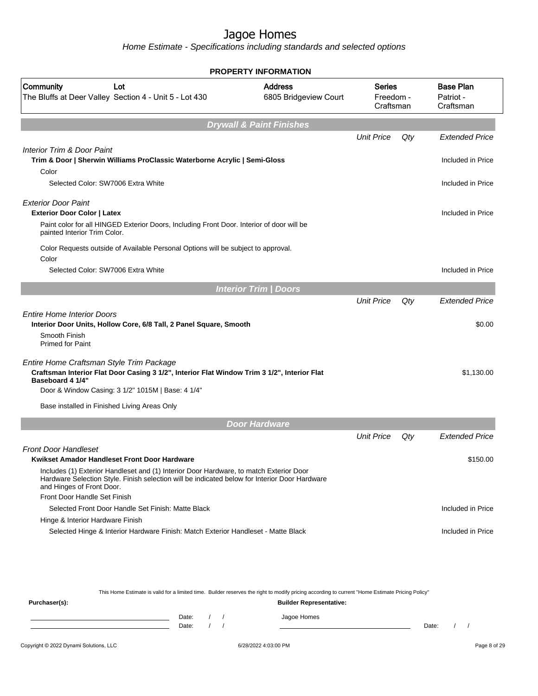Home Estimate - Specifications including standards and selected options

|                                                                                                                                                                                                                                                                      | <b>PROPERTY INFORMATION</b>             |                                  |     |                                            |
|----------------------------------------------------------------------------------------------------------------------------------------------------------------------------------------------------------------------------------------------------------------------|-----------------------------------------|----------------------------------|-----|--------------------------------------------|
| Community<br>Lot<br>The Bluffs at Deer Valley Section 4 - Unit 5 - Lot 430                                                                                                                                                                                           | <b>Address</b><br>6805 Bridgeview Court | Series<br>Freedom -<br>Craftsman |     | <b>Base Plan</b><br>Patriot -<br>Craftsman |
|                                                                                                                                                                                                                                                                      | <b>Drywall &amp; Paint Finishes</b>     |                                  |     |                                            |
|                                                                                                                                                                                                                                                                      |                                         | <b>Unit Price</b>                | Qty | <b>Extended Price</b>                      |
| Interior Trim & Door Paint<br>Trim & Door   Sherwin Williams ProClassic Waterborne Acrylic   Semi-Gloss                                                                                                                                                              |                                         |                                  |     | Included in Price                          |
| Color<br>Selected Color: SW7006 Extra White                                                                                                                                                                                                                          |                                         |                                  |     | Included in Price                          |
| <b>Exterior Door Paint</b><br><b>Exterior Door Color   Latex</b>                                                                                                                                                                                                     |                                         |                                  |     | Included in Price                          |
| Paint color for all HINGED Exterior Doors, Including Front Door. Interior of door will be<br>painted Interior Trim Color.                                                                                                                                            |                                         |                                  |     |                                            |
| Color Requests outside of Available Personal Options will be subject to approval.<br>Color                                                                                                                                                                           |                                         |                                  |     |                                            |
| Selected Color: SW7006 Extra White                                                                                                                                                                                                                                   |                                         |                                  |     | Included in Price                          |
|                                                                                                                                                                                                                                                                      | <b>Interior Trim / Doors</b>            |                                  |     |                                            |
|                                                                                                                                                                                                                                                                      |                                         | <b>Unit Price</b>                | Qty | <b>Extended Price</b>                      |
| <b>Entire Home Interior Doors</b>                                                                                                                                                                                                                                    |                                         |                                  |     |                                            |
| Interior Door Units, Hollow Core, 6/8 Tall, 2 Panel Square, Smooth                                                                                                                                                                                                   |                                         |                                  |     | \$0.00                                     |
| Smooth Finish<br><b>Primed for Paint</b>                                                                                                                                                                                                                             |                                         |                                  |     |                                            |
| Entire Home Craftsman Style Trim Package<br>Craftsman Interior Flat Door Casing 3 1/2", Interior Flat Window Trim 3 1/2", Interior Flat<br>Baseboard 4 1/4"                                                                                                          |                                         |                                  |     | \$1,130.00                                 |
| Door & Window Casing: 3 1/2" 1015M   Base: 4 1/4"                                                                                                                                                                                                                    |                                         |                                  |     |                                            |
| Base installed in Finished Living Areas Only                                                                                                                                                                                                                         |                                         |                                  |     |                                            |
|                                                                                                                                                                                                                                                                      | <b>Door Hardware</b>                    |                                  |     |                                            |
|                                                                                                                                                                                                                                                                      |                                         | <b>Unit Price</b>                | Qty | <b>Extended Price</b>                      |
| <b>Front Door Handleset</b>                                                                                                                                                                                                                                          |                                         |                                  |     |                                            |
| Kwikset Amador Handleset Front Door Hardware<br>Includes (1) Exterior Handleset and (1) Interior Door Hardware, to match Exterior Door<br>Hardware Selection Style. Finish selection will be indicated below for Interior Door Hardware<br>and Hinges of Front Door. |                                         |                                  |     | \$150.00                                   |
| Front Door Handle Set Finish                                                                                                                                                                                                                                         |                                         |                                  |     |                                            |
| Selected Front Door Handle Set Finish: Matte Black                                                                                                                                                                                                                   |                                         |                                  |     | Included in Price                          |
| Hinge & Interior Hardware Finish                                                                                                                                                                                                                                     |                                         |                                  |     |                                            |
| Selected Hinge & Interior Hardware Finish: Match Exterior Handleset - Matte Black                                                                                                                                                                                    |                                         |                                  |     | Included in Price                          |

This Home Estimate is valid for a limited time. Builder reserves the right to modify pricing according to current "Home Estimate Pricing Policy"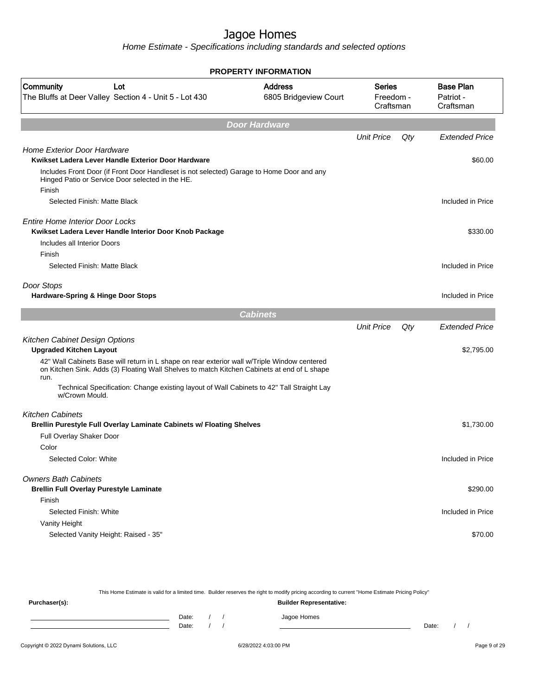Home Estimate - Specifications including standards and selected options

| <b>PROPERTY INFORMATION</b>                                                                                                                                                                         |                                         |                                  |     |                                            |  |
|-----------------------------------------------------------------------------------------------------------------------------------------------------------------------------------------------------|-----------------------------------------|----------------------------------|-----|--------------------------------------------|--|
| <b>Community</b><br>Lot<br>The Bluffs at Deer Valley Section 4 - Unit 5 - Lot 430                                                                                                                   | <b>Address</b><br>6805 Bridgeview Court | Series<br>Freedom -<br>Craftsman |     | <b>Base Plan</b><br>Patriot -<br>Craftsman |  |
|                                                                                                                                                                                                     | <b>Door Hardware</b>                    |                                  |     |                                            |  |
|                                                                                                                                                                                                     |                                         | <b>Unit Price</b>                | Qty | <b>Extended Price</b>                      |  |
| <b>Home Exterior Door Hardware</b>                                                                                                                                                                  |                                         |                                  |     |                                            |  |
| Kwikset Ladera Lever Handle Exterior Door Hardware                                                                                                                                                  |                                         |                                  |     | \$60.00                                    |  |
| Includes Front Door (if Front Door Handleset is not selected) Garage to Home Door and any<br>Hinged Patio or Service Door selected in the HE.<br>Finish                                             |                                         |                                  |     |                                            |  |
| Selected Finish: Matte Black                                                                                                                                                                        |                                         |                                  |     | Included in Price                          |  |
| <b>Entire Home Interior Door Locks</b><br>Kwikset Ladera Lever Handle Interior Door Knob Package                                                                                                    |                                         |                                  |     | \$330.00                                   |  |
| Includes all Interior Doors                                                                                                                                                                         |                                         |                                  |     |                                            |  |
| Finish                                                                                                                                                                                              |                                         |                                  |     |                                            |  |
| Selected Finish: Matte Black                                                                                                                                                                        |                                         |                                  |     | Included in Price                          |  |
| Door Stops                                                                                                                                                                                          |                                         |                                  |     |                                            |  |
| Hardware-Spring & Hinge Door Stops                                                                                                                                                                  |                                         |                                  |     | Included in Price                          |  |
|                                                                                                                                                                                                     | <b>Cabinets</b>                         |                                  |     |                                            |  |
|                                                                                                                                                                                                     |                                         | <b>Unit Price</b>                | Qty | Extended Price                             |  |
| Kitchen Cabinet Design Options                                                                                                                                                                      |                                         |                                  |     |                                            |  |
| <b>Upgraded Kitchen Layout</b>                                                                                                                                                                      |                                         |                                  |     | \$2,795.00                                 |  |
| 42" Wall Cabinets Base will return in L shape on rear exterior wall w/Triple Window centered<br>on Kitchen Sink. Adds (3) Floating Wall Shelves to match Kitchen Cabinets at end of L shape<br>run. |                                         |                                  |     |                                            |  |
| Technical Specification: Change existing layout of Wall Cabinets to 42" Tall Straight Lay<br>w/Crown Mould.                                                                                         |                                         |                                  |     |                                            |  |
| <b>Kitchen Cabinets</b>                                                                                                                                                                             |                                         |                                  |     |                                            |  |
| Brellin Purestyle Full Overlay Laminate Cabinets w/ Floating Shelves                                                                                                                                |                                         |                                  |     | \$1,730.00                                 |  |
| Full Overlay Shaker Door                                                                                                                                                                            |                                         |                                  |     |                                            |  |
| Color                                                                                                                                                                                               |                                         |                                  |     |                                            |  |
| Selected Color: White                                                                                                                                                                               |                                         |                                  |     | Included in Price                          |  |
| <b>Owners Bath Cabinets</b><br><b>Brellin Full Overlay Purestyle Laminate</b>                                                                                                                       |                                         |                                  |     | \$290.00                                   |  |
| Finish                                                                                                                                                                                              |                                         |                                  |     |                                            |  |
| Selected Finish: White                                                                                                                                                                              |                                         |                                  |     | Included in Price                          |  |
| Vanity Height                                                                                                                                                                                       |                                         |                                  |     |                                            |  |
| Selected Vanity Height: Raised - 35"                                                                                                                                                                |                                         |                                  |     | \$70.00                                    |  |
|                                                                                                                                                                                                     |                                         |                                  |     |                                            |  |
|                                                                                                                                                                                                     |                                         |                                  |     |                                            |  |

This Home Estimate is valid for a limited time. Builder reserves the right to modify pricing according to current "Home Estimate Pricing Policy" **Purchaser(s): Builder Representative:** Date: / / Jagoe Homes<br>Date: / / Jagoe Homes Date: / / Date: / /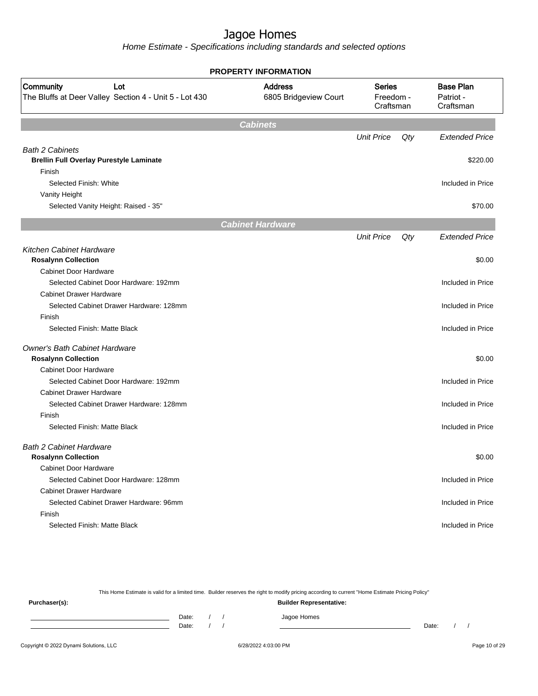Home Estimate - Specifications including standards and selected options

|                                                                                   | <b>PROPERTY INFORMATION</b>             |                                         |     |                                            |  |  |  |
|-----------------------------------------------------------------------------------|-----------------------------------------|-----------------------------------------|-----|--------------------------------------------|--|--|--|
| <b>Community</b><br>Lot<br>The Bluffs at Deer Valley Section 4 - Unit 5 - Lot 430 | <b>Address</b><br>6805 Bridgeview Court | <b>Series</b><br>Freedom -<br>Craftsman |     | <b>Base Plan</b><br>Patriot -<br>Craftsman |  |  |  |
|                                                                                   | <b>Cabinets</b>                         |                                         |     |                                            |  |  |  |
|                                                                                   |                                         | <b>Unit Price</b>                       | Qty | <b>Extended Price</b>                      |  |  |  |
| <b>Bath 2 Cabinets</b>                                                            |                                         |                                         |     |                                            |  |  |  |
| <b>Brellin Full Overlay Purestyle Laminate</b>                                    |                                         |                                         |     | \$220.00                                   |  |  |  |
| Finish                                                                            |                                         |                                         |     |                                            |  |  |  |
| Selected Finish: White                                                            |                                         |                                         |     | Included in Price                          |  |  |  |
| Vanity Height                                                                     |                                         |                                         |     |                                            |  |  |  |
| Selected Vanity Height: Raised - 35"                                              |                                         |                                         |     | \$70.00                                    |  |  |  |
|                                                                                   | <b>Cabinet Hardware</b>                 |                                         |     |                                            |  |  |  |
|                                                                                   |                                         | <b>Unit Price</b>                       | Qty | <b>Extended Price</b>                      |  |  |  |
| Kitchen Cabinet Hardware                                                          |                                         |                                         |     |                                            |  |  |  |
| <b>Rosalynn Collection</b>                                                        |                                         |                                         |     | \$0.00                                     |  |  |  |
| <b>Cabinet Door Hardware</b>                                                      |                                         |                                         |     |                                            |  |  |  |
| Selected Cabinet Door Hardware: 192mm                                             |                                         |                                         |     | Included in Price                          |  |  |  |
| <b>Cabinet Drawer Hardware</b>                                                    |                                         |                                         |     |                                            |  |  |  |
| Selected Cabinet Drawer Hardware: 128mm                                           |                                         |                                         |     | Included in Price                          |  |  |  |
| Finish                                                                            |                                         |                                         |     |                                            |  |  |  |
| Selected Finish: Matte Black                                                      |                                         |                                         |     | Included in Price                          |  |  |  |
| <b>Owner's Bath Cabinet Hardware</b>                                              |                                         |                                         |     |                                            |  |  |  |
| <b>Rosalynn Collection</b>                                                        |                                         |                                         |     | \$0.00                                     |  |  |  |
| <b>Cabinet Door Hardware</b>                                                      |                                         |                                         |     |                                            |  |  |  |
| Selected Cabinet Door Hardware: 192mm                                             |                                         |                                         |     | Included in Price                          |  |  |  |
| <b>Cabinet Drawer Hardware</b>                                                    |                                         |                                         |     |                                            |  |  |  |
| Selected Cabinet Drawer Hardware: 128mm                                           |                                         |                                         |     | Included in Price                          |  |  |  |
| Finish                                                                            |                                         |                                         |     |                                            |  |  |  |
| Selected Finish: Matte Black                                                      |                                         |                                         |     | Included in Price                          |  |  |  |
| <b>Bath 2 Cabinet Hardware</b>                                                    |                                         |                                         |     |                                            |  |  |  |
| <b>Rosalynn Collection</b>                                                        |                                         |                                         |     | \$0.00                                     |  |  |  |
| <b>Cabinet Door Hardware</b>                                                      |                                         |                                         |     |                                            |  |  |  |
| Selected Cabinet Door Hardware: 128mm                                             |                                         |                                         |     | Included in Price                          |  |  |  |
| <b>Cabinet Drawer Hardware</b>                                                    |                                         |                                         |     |                                            |  |  |  |
| Selected Cabinet Drawer Hardware: 96mm                                            |                                         |                                         |     | Included in Price                          |  |  |  |
| Finish                                                                            |                                         |                                         |     |                                            |  |  |  |
| Selected Finish: Matte Black                                                      |                                         |                                         |     | Included in Price                          |  |  |  |
|                                                                                   |                                         |                                         |     |                                            |  |  |  |

This Home Estimate is valid for a limited time. Builder reserves the right to modify pricing according to current "Home Estimate Pricing Policy"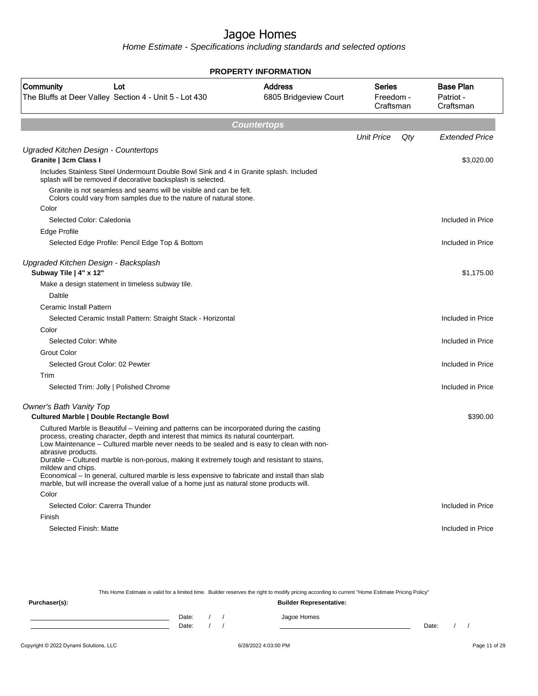Home Estimate - Specifications including standards and selected options

| <b>PROPERTY INFORMATION</b>                                               |                                                                                                                                                                                                                                                                                            |                                         |                                         |     |                                            |  |  |  |
|---------------------------------------------------------------------------|--------------------------------------------------------------------------------------------------------------------------------------------------------------------------------------------------------------------------------------------------------------------------------------------|-----------------------------------------|-----------------------------------------|-----|--------------------------------------------|--|--|--|
| <b>Community</b>                                                          | Lot<br>The Bluffs at Deer Valley Section 4 - Unit 5 - Lot 430                                                                                                                                                                                                                              | <b>Address</b><br>6805 Bridgeview Court | <b>Series</b><br>Freedom -<br>Craftsman |     | <b>Base Plan</b><br>Patriot -<br>Craftsman |  |  |  |
|                                                                           | <b>Countertops</b>                                                                                                                                                                                                                                                                         |                                         |                                         |     |                                            |  |  |  |
|                                                                           |                                                                                                                                                                                                                                                                                            |                                         | <b>Unit Price</b>                       | Qty | <b>Extended Price</b>                      |  |  |  |
| Ugraded Kitchen Design - Countertops<br>Granite   3cm Class I             |                                                                                                                                                                                                                                                                                            |                                         |                                         |     | \$3,020.00                                 |  |  |  |
|                                                                           | Includes Stainless Steel Undermount Double Bowl Sink and 4 in Granite splash. Included<br>splash will be removed if decorative backsplash is selected.                                                                                                                                     |                                         |                                         |     |                                            |  |  |  |
|                                                                           | Granite is not seamless and seams will be visible and can be felt.<br>Colors could vary from samples due to the nature of natural stone.                                                                                                                                                   |                                         |                                         |     |                                            |  |  |  |
| Color                                                                     |                                                                                                                                                                                                                                                                                            |                                         |                                         |     |                                            |  |  |  |
| Selected Color: Caledonia                                                 |                                                                                                                                                                                                                                                                                            |                                         |                                         |     | Included in Price                          |  |  |  |
| Edge Profile                                                              |                                                                                                                                                                                                                                                                                            |                                         |                                         |     |                                            |  |  |  |
|                                                                           | Selected Edge Profile: Pencil Edge Top & Bottom                                                                                                                                                                                                                                            |                                         |                                         |     | Included in Price                          |  |  |  |
| Upgraded Kitchen Design - Backsplash<br>Subway Tile   4" x 12"            |                                                                                                                                                                                                                                                                                            |                                         |                                         |     | \$1,175.00                                 |  |  |  |
|                                                                           | Make a design statement in timeless subway tile.                                                                                                                                                                                                                                           |                                         |                                         |     |                                            |  |  |  |
| Daltile                                                                   |                                                                                                                                                                                                                                                                                            |                                         |                                         |     |                                            |  |  |  |
| Ceramic Install Pattern                                                   |                                                                                                                                                                                                                                                                                            |                                         |                                         |     |                                            |  |  |  |
|                                                                           | Selected Ceramic Install Pattern: Straight Stack - Horizontal                                                                                                                                                                                                                              |                                         |                                         |     | Included in Price                          |  |  |  |
| Color                                                                     |                                                                                                                                                                                                                                                                                            |                                         |                                         |     |                                            |  |  |  |
| Selected Color: White                                                     |                                                                                                                                                                                                                                                                                            |                                         |                                         |     | Included in Price                          |  |  |  |
| Grout Color                                                               |                                                                                                                                                                                                                                                                                            |                                         |                                         |     |                                            |  |  |  |
| Selected Grout Color: 02 Pewter                                           |                                                                                                                                                                                                                                                                                            |                                         |                                         |     | Included in Price                          |  |  |  |
| Trim                                                                      |                                                                                                                                                                                                                                                                                            |                                         |                                         |     |                                            |  |  |  |
|                                                                           | Selected Trim: Jolly   Polished Chrome                                                                                                                                                                                                                                                     |                                         |                                         |     | Included in Price                          |  |  |  |
| Owner's Bath Vanity Top<br><b>Cultured Marble   Double Rectangle Bowl</b> |                                                                                                                                                                                                                                                                                            |                                         |                                         |     | \$390.00                                   |  |  |  |
| abrasive products.                                                        | Cultured Marble is Beautiful - Veining and patterns can be incorporated during the casting<br>process, creating character, depth and interest that mimics its natural counterpart.<br>Low Maintenance - Cultured marble never needs to be sealed and is easy to clean with non-            |                                         |                                         |     |                                            |  |  |  |
| mildew and chips.                                                         | Durable - Cultured marble is non-porous, making it extremely tough and resistant to stains,<br>Economical – In general, cultured marble is less expensive to fabricate and install than slab<br>marble, but will increase the overall value of a home just as natural stone products will. |                                         |                                         |     |                                            |  |  |  |
| Color                                                                     |                                                                                                                                                                                                                                                                                            |                                         |                                         |     |                                            |  |  |  |
| Selected Color: Carerra Thunder                                           |                                                                                                                                                                                                                                                                                            |                                         |                                         |     | Included in Price                          |  |  |  |
| Finish                                                                    |                                                                                                                                                                                                                                                                                            |                                         |                                         |     |                                            |  |  |  |
| Selected Finish: Matte                                                    |                                                                                                                                                                                                                                                                                            |                                         |                                         |     | Included in Price                          |  |  |  |

This Home Estimate is valid for a limited time. Builder reserves the right to modify pricing according to current "Home Estimate Pricing Policy"

**Purchaser(s): Builder Representative:** Date: / / Jagoe Homes<br>Date: / / Jagoe Homes Date: / / **Date: / / 2006** Date: / / / Date: / / /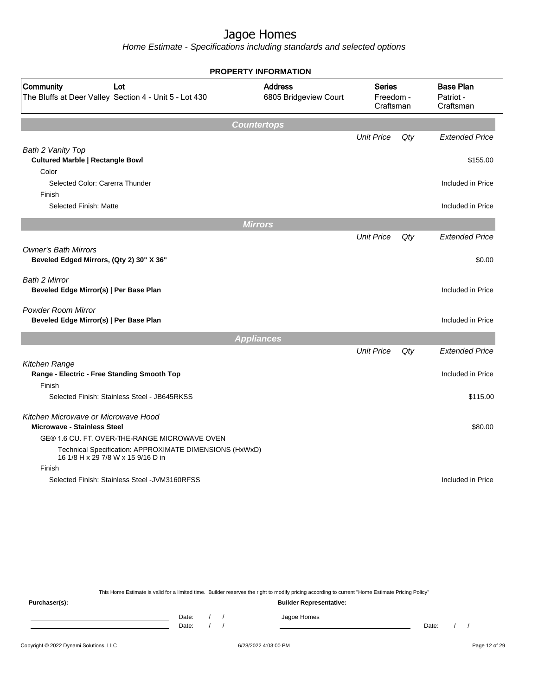Home Estimate - Specifications including standards and selected options

|                                                                                               | <b>PROPERTY INFORMATION</b>             |                                  |     |                       |  |                                            |
|-----------------------------------------------------------------------------------------------|-----------------------------------------|----------------------------------|-----|-----------------------|--|--------------------------------------------|
| Community<br>Lot<br>The Bluffs at Deer Valley Section 4 - Unit 5 - Lot 430                    | <b>Address</b><br>6805 Bridgeview Court | Series<br>Freedom -<br>Craftsman |     |                       |  | <b>Base Plan</b><br>Patriot -<br>Craftsman |
|                                                                                               | <b>Countertops</b>                      |                                  |     |                       |  |                                            |
|                                                                                               |                                         | <b>Unit Price</b>                | Qty | <b>Extended Price</b> |  |                                            |
| Bath 2 Vanity Top                                                                             |                                         |                                  |     |                       |  |                                            |
| <b>Cultured Marble   Rectangle Bowl</b>                                                       |                                         |                                  |     | \$155.00              |  |                                            |
| Color                                                                                         |                                         |                                  |     |                       |  |                                            |
| Selected Color: Carerra Thunder                                                               |                                         |                                  |     | Included in Price     |  |                                            |
| Finish                                                                                        |                                         |                                  |     |                       |  |                                            |
| Selected Finish: Matte                                                                        |                                         |                                  |     | Included in Price     |  |                                            |
|                                                                                               | <b>Mirrors</b>                          |                                  |     |                       |  |                                            |
|                                                                                               |                                         | <b>Unit Price</b>                | Qty | <b>Extended Price</b> |  |                                            |
| <b>Owner's Bath Mirrors</b><br>Beveled Edged Mirrors, (Qty 2) 30" X 36"                       |                                         |                                  |     | \$0.00                |  |                                            |
| <b>Bath 2 Mirror</b><br>Beveled Edge Mirror(s)   Per Base Plan                                |                                         |                                  |     | Included in Price     |  |                                            |
| <b>Powder Room Mirror</b><br>Beveled Edge Mirror(s)   Per Base Plan                           |                                         |                                  |     | Included in Price     |  |                                            |
|                                                                                               | <b>Appliances</b>                       |                                  |     |                       |  |                                            |
|                                                                                               |                                         | <b>Unit Price</b>                | Qty | <b>Extended Price</b> |  |                                            |
| Kitchen Range                                                                                 |                                         |                                  |     |                       |  |                                            |
| Range - Electric - Free Standing Smooth Top                                                   |                                         |                                  |     | Included in Price     |  |                                            |
| Finish                                                                                        |                                         |                                  |     |                       |  |                                            |
| Selected Finish: Stainless Steel - JB645RKSS                                                  |                                         |                                  |     | \$115.00              |  |                                            |
| Kitchen Microwave or Microwave Hood                                                           |                                         |                                  |     |                       |  |                                            |
| <b>Microwave - Stainless Steel</b>                                                            |                                         |                                  |     | \$80.00               |  |                                            |
| GE® 1.6 CU. FT. OVER-THE-RANGE MICROWAVE OVEN                                                 |                                         |                                  |     |                       |  |                                            |
| Technical Specification: APPROXIMATE DIMENSIONS (HxWxD)<br>16 1/8 H x 29 7/8 W x 15 9/16 D in |                                         |                                  |     |                       |  |                                            |
| Finish                                                                                        |                                         |                                  |     |                       |  |                                            |
| Selected Finish: Stainless Steel - JVM3160RFSS                                                |                                         |                                  |     | Included in Price     |  |                                            |
|                                                                                               |                                         |                                  |     |                       |  |                                            |

This Home Estimate is valid for a limited time. Builder reserves the right to modify pricing according to current "Home Estimate Pricing Policy"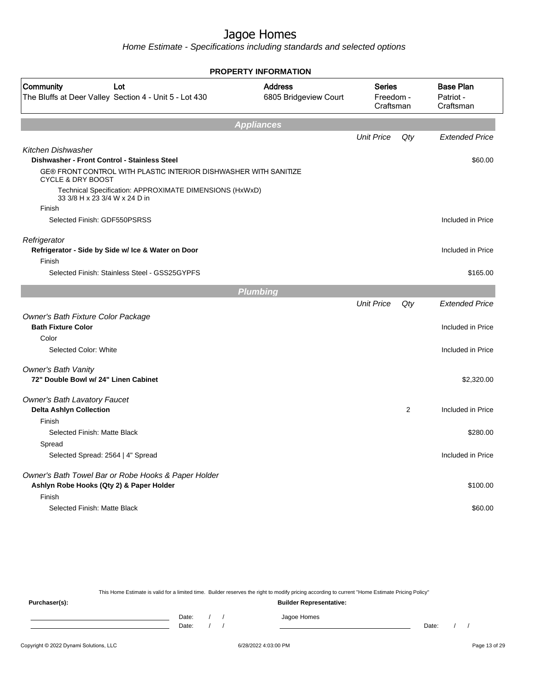Home Estimate - Specifications including standards and selected options

| <b>PROPERTY INFORMATION</b>                                                                      |                                         |                                         |     |                                            |  |  |  |
|--------------------------------------------------------------------------------------------------|-----------------------------------------|-----------------------------------------|-----|--------------------------------------------|--|--|--|
| Community<br>Lot<br>The Bluffs at Deer Valley Section 4 - Unit 5 - Lot 430                       | <b>Address</b><br>6805 Bridgeview Court | <b>Series</b><br>Freedom -<br>Craftsman |     | <b>Base Plan</b><br>Patriot -<br>Craftsman |  |  |  |
|                                                                                                  | <b>Appliances</b>                       |                                         |     |                                            |  |  |  |
|                                                                                                  |                                         | <b>Unit Price</b>                       | Qty | <b>Extended Price</b>                      |  |  |  |
| <b>Kitchen Dishwasher</b><br>Dishwasher - Front Control - Stainless Steel                        |                                         |                                         |     | \$60.00                                    |  |  |  |
| GE® FRONT CONTROL WITH PLASTIC INTERIOR DISHWASHER WITH SANITIZE<br><b>CYCLE &amp; DRY BOOST</b> |                                         |                                         |     |                                            |  |  |  |
| Technical Specification: APPROXIMATE DIMENSIONS (HxWxD)<br>33 3/8 H x 23 3/4 W x 24 D in         |                                         |                                         |     |                                            |  |  |  |
| Finish                                                                                           |                                         |                                         |     |                                            |  |  |  |
| Selected Finish: GDF550PSRSS                                                                     |                                         |                                         |     | Included in Price                          |  |  |  |
| Refrigerator<br>Refrigerator - Side by Side w/ Ice & Water on Door                               |                                         |                                         |     | Included in Price                          |  |  |  |
| Finish<br>Selected Finish: Stainless Steel - GSS25GYPFS                                          |                                         |                                         |     |                                            |  |  |  |
|                                                                                                  |                                         |                                         |     | \$165.00                                   |  |  |  |
|                                                                                                  | <b>Plumbing</b>                         |                                         |     |                                            |  |  |  |
|                                                                                                  |                                         | <b>Unit Price</b>                       | Qty | <b>Extended Price</b>                      |  |  |  |
| Owner's Bath Fixture Color Package<br><b>Bath Fixture Color</b>                                  |                                         |                                         |     | Included in Price                          |  |  |  |
| Color<br>Selected Color: White                                                                   |                                         |                                         |     | Included in Price                          |  |  |  |
|                                                                                                  |                                         |                                         |     |                                            |  |  |  |
| <b>Owner's Bath Vanity</b><br>72" Double Bowl w/ 24" Linen Cabinet                               |                                         |                                         |     | \$2,320.00                                 |  |  |  |
| <b>Owner's Bath Lavatory Faucet</b>                                                              |                                         |                                         |     |                                            |  |  |  |
| <b>Delta Ashlyn Collection</b><br>Finish                                                         |                                         |                                         | 2   | Included in Price                          |  |  |  |
| Selected Finish: Matte Black                                                                     |                                         |                                         |     | \$280.00                                   |  |  |  |
| Spread                                                                                           |                                         |                                         |     |                                            |  |  |  |
| Selected Spread: 2564   4" Spread                                                                |                                         |                                         |     | Included in Price                          |  |  |  |
| Owner's Bath Towel Bar or Robe Hooks & Paper Holder<br>Ashlyn Robe Hooks (Qty 2) & Paper Holder  |                                         |                                         |     | \$100.00                                   |  |  |  |
| Finish                                                                                           |                                         |                                         |     |                                            |  |  |  |
| Selected Finish: Matte Black                                                                     |                                         |                                         |     | \$60.00                                    |  |  |  |
|                                                                                                  |                                         |                                         |     |                                            |  |  |  |

This Home Estimate is valid for a limited time. Builder reserves the right to modify pricing according to current "Home Estimate Pricing Policy"

**Purchaser(s): Builder Representative:** Date: / / Jagoe Homes<br>Date: / / Jagoe Homes Date: / / **Date: / / 2006** Date: / / / Date: / / /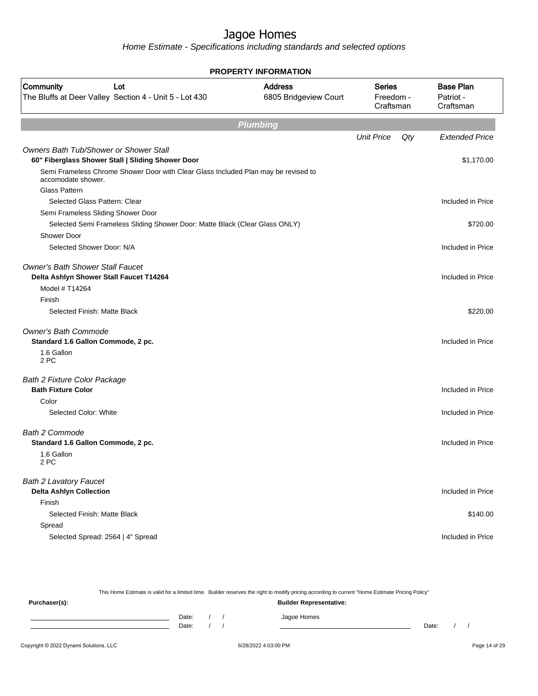Home Estimate - Specifications including standards and selected options

| <b>PROPERTY INFORMATION</b>                                                                              |                                         |                                         |     |                                            |  |  |  |
|----------------------------------------------------------------------------------------------------------|-----------------------------------------|-----------------------------------------|-----|--------------------------------------------|--|--|--|
| Community<br>Lot<br>The Bluffs at Deer Valley Section 4 - Unit 5 - Lot 430                               | <b>Address</b><br>6805 Bridgeview Court | <b>Series</b><br>Freedom -<br>Craftsman |     | <b>Base Plan</b><br>Patriot -<br>Craftsman |  |  |  |
| <b>Plumbing</b>                                                                                          |                                         |                                         |     |                                            |  |  |  |
|                                                                                                          |                                         | <b>Unit Price</b>                       | Qty | <b>Extended Price</b>                      |  |  |  |
| <b>Owners Bath Tub/Shower or Shower Stall</b><br>60" Fiberglass Shower Stall   Sliding Shower Door       |                                         |                                         |     | \$1,170.00                                 |  |  |  |
| Semi Frameless Chrome Shower Door with Clear Glass Included Plan may be revised to<br>accomodate shower. |                                         |                                         |     |                                            |  |  |  |
| <b>Glass Pattern</b>                                                                                     |                                         |                                         |     |                                            |  |  |  |
| Selected Glass Pattern: Clear                                                                            |                                         |                                         |     | Included in Price                          |  |  |  |
| Semi Frameless Sliding Shower Door                                                                       |                                         |                                         |     |                                            |  |  |  |
| Selected Semi Frameless Sliding Shower Door: Matte Black (Clear Glass ONLY)                              |                                         |                                         |     | \$720.00                                   |  |  |  |
| <b>Shower Door</b>                                                                                       |                                         |                                         |     |                                            |  |  |  |
| Selected Shower Door: N/A                                                                                |                                         |                                         |     | Included in Price                          |  |  |  |
| <b>Owner's Bath Shower Stall Faucet</b><br>Delta Ashlyn Shower Stall Faucet T14264                       |                                         |                                         |     | Included in Price                          |  |  |  |
| Model # T14264                                                                                           |                                         |                                         |     |                                            |  |  |  |
| Finish                                                                                                   |                                         |                                         |     |                                            |  |  |  |
| Selected Finish: Matte Black                                                                             |                                         |                                         |     | \$220.00                                   |  |  |  |
| <b>Owner's Bath Commode</b>                                                                              |                                         |                                         |     |                                            |  |  |  |
| Standard 1.6 Gallon Commode, 2 pc.                                                                       |                                         |                                         |     | Included in Price                          |  |  |  |
| 1.6 Gallon<br>2 PC                                                                                       |                                         |                                         |     |                                            |  |  |  |
| <b>Bath 2 Fixture Color Package</b>                                                                      |                                         |                                         |     |                                            |  |  |  |
| <b>Bath Fixture Color</b>                                                                                |                                         |                                         |     | Included in Price                          |  |  |  |
| Color                                                                                                    |                                         |                                         |     |                                            |  |  |  |
| Selected Color: White                                                                                    |                                         |                                         |     | Included in Price                          |  |  |  |
| <b>Bath 2 Commode</b>                                                                                    |                                         |                                         |     |                                            |  |  |  |
| Standard 1.6 Gallon Commode, 2 pc.                                                                       |                                         |                                         |     | Included in Price                          |  |  |  |
| 1.6 Gallon<br>2 PC                                                                                       |                                         |                                         |     |                                            |  |  |  |
| <b>Bath 2 Lavatory Faucet</b>                                                                            |                                         |                                         |     |                                            |  |  |  |
| <b>Delta Ashlyn Collection</b>                                                                           |                                         |                                         |     | Included in Price                          |  |  |  |
| Finish                                                                                                   |                                         |                                         |     |                                            |  |  |  |
| Selected Finish: Matte Black                                                                             |                                         |                                         |     | \$140.00                                   |  |  |  |
| Spread                                                                                                   |                                         |                                         |     |                                            |  |  |  |
| Selected Spread: 2564   4" Spread                                                                        |                                         |                                         |     | Included in Price                          |  |  |  |
|                                                                                                          |                                         |                                         |     |                                            |  |  |  |

This Home Estimate is valid for a limited time. Builder reserves the right to modify pricing according to current "Home Estimate Pricing Policy" **Purchaser(s): Builder Representative:** Date: / / Jagoe Homes<br>Date: / / Jagoe Homes Date: / / **Date: / / 2006** Date: / / / Date: / / /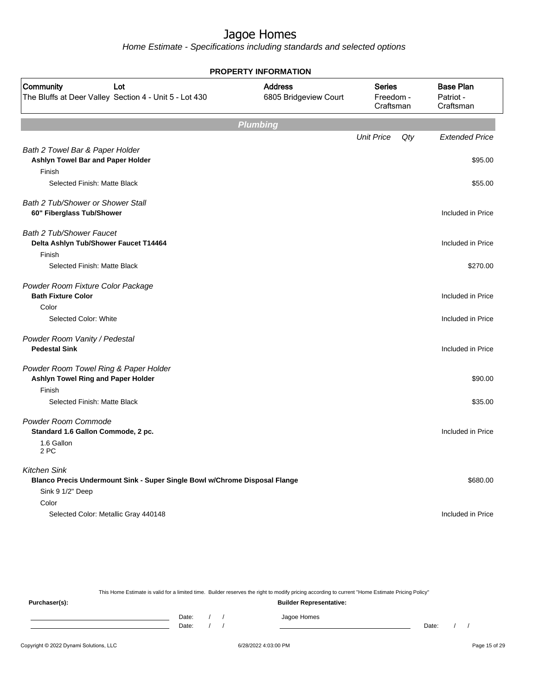Home Estimate - Specifications including standards and selected options

| <b>PROPERTY INFORMATION</b>                                                                                           |                                         |                                         |     |                                            |  |  |
|-----------------------------------------------------------------------------------------------------------------------|-----------------------------------------|-----------------------------------------|-----|--------------------------------------------|--|--|
| Community<br>Lot<br>The Bluffs at Deer Valley Section 4 - Unit 5 - Lot 430                                            | <b>Address</b><br>6805 Bridgeview Court | <b>Series</b><br>Freedom -<br>Craftsman |     | <b>Base Plan</b><br>Patriot -<br>Craftsman |  |  |
| <b>Plumbing</b>                                                                                                       |                                         |                                         |     |                                            |  |  |
|                                                                                                                       |                                         | <b>Unit Price</b>                       | Qty | <b>Extended Price</b>                      |  |  |
| Bath 2 Towel Bar & Paper Holder<br>Ashlyn Towel Bar and Paper Holder<br>Finish                                        |                                         |                                         |     | \$95.00                                    |  |  |
| Selected Finish: Matte Black                                                                                          |                                         |                                         |     | \$55.00                                    |  |  |
| Bath 2 Tub/Shower or Shower Stall<br>60" Fiberglass Tub/Shower                                                        |                                         |                                         |     | Included in Price                          |  |  |
| <b>Bath 2 Tub/Shower Faucet</b><br>Delta Ashlyn Tub/Shower Faucet T14464<br>Finish                                    |                                         |                                         |     | Included in Price                          |  |  |
| Selected Finish: Matte Black                                                                                          |                                         |                                         |     | \$270.00                                   |  |  |
| Powder Room Fixture Color Package<br><b>Bath Fixture Color</b>                                                        |                                         |                                         |     | Included in Price                          |  |  |
| Color                                                                                                                 |                                         |                                         |     |                                            |  |  |
| Selected Color: White                                                                                                 |                                         |                                         |     | Included in Price                          |  |  |
| Powder Room Vanity / Pedestal<br><b>Pedestal Sink</b>                                                                 |                                         |                                         |     | Included in Price                          |  |  |
| Powder Room Towel Ring & Paper Holder<br>Ashlyn Towel Ring and Paper Holder                                           |                                         |                                         |     | \$90.00                                    |  |  |
| Finish<br>Selected Finish: Matte Black                                                                                |                                         |                                         |     | \$35.00                                    |  |  |
| Powder Room Commode<br>Standard 1.6 Gallon Commode, 2 pc.<br>1.6 Gallon                                               |                                         |                                         |     | Included in Price                          |  |  |
| 2 PC                                                                                                                  |                                         |                                         |     |                                            |  |  |
| <b>Kitchen Sink</b><br>Blanco Precis Undermount Sink - Super Single Bowl w/Chrome Disposal Flange<br>Sink 9 1/2" Deep |                                         |                                         |     | \$680.00                                   |  |  |
| Color<br>Selected Color: Metallic Gray 440148                                                                         |                                         |                                         |     | Included in Price                          |  |  |

This Home Estimate is valid for a limited time. Builder reserves the right to modify pricing according to current "Home Estimate Pricing Policy"

**Purchaser(s): Builder Representative:** Date: / / Jagoe Homes<br>Date: / / Jagoe Homes Date: / / **Date: / / 2006** Date: / / / Date: / / /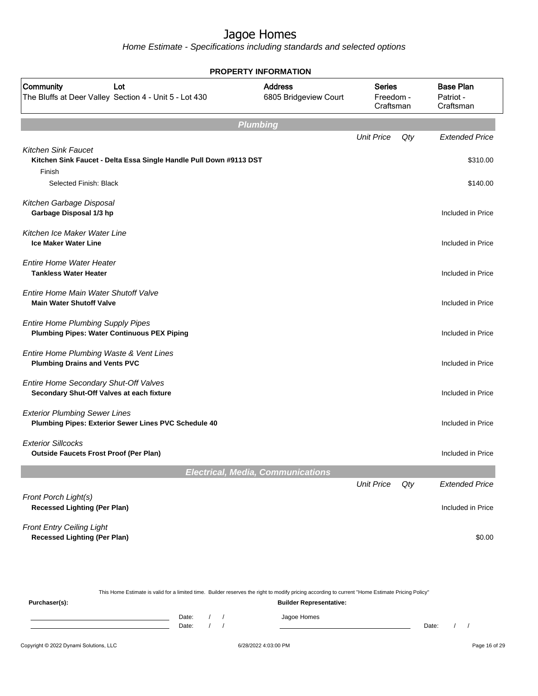Home Estimate - Specifications including standards and selected options

|                                                                                                            | <b>PROPERTY INFORMATION</b>              |                                         |                                         |     |                                            |
|------------------------------------------------------------------------------------------------------------|------------------------------------------|-----------------------------------------|-----------------------------------------|-----|--------------------------------------------|
| Community<br>Lot<br>The Bluffs at Deer Valley Section 4 - Unit 5 - Lot 430                                 |                                          | <b>Address</b><br>6805 Bridgeview Court | <b>Series</b><br>Freedom -<br>Craftsman |     | <b>Base Plan</b><br>Patriot -<br>Craftsman |
|                                                                                                            | Plumbing                                 |                                         |                                         |     |                                            |
|                                                                                                            |                                          |                                         | <b>Unit Price</b>                       | Qty | <b>Extended Price</b>                      |
| <b>Kitchen Sink Faucet</b><br>Kitchen Sink Faucet - Delta Essa Single Handle Pull Down #9113 DST<br>Finish |                                          |                                         |                                         |     | \$310.00                                   |
| Selected Finish: Black                                                                                     |                                          |                                         |                                         |     | \$140.00                                   |
| Kitchen Garbage Disposal<br>Garbage Disposal 1/3 hp                                                        |                                          |                                         |                                         |     | Included in Price                          |
| Kitchen Ice Maker Water Line<br><b>Ice Maker Water Line</b>                                                |                                          |                                         |                                         |     | Included in Price                          |
| <b>Entire Home Water Heater</b><br><b>Tankless Water Heater</b>                                            |                                          |                                         |                                         |     | Included in Price                          |
| Entire Home Main Water Shutoff Valve<br><b>Main Water Shutoff Valve</b>                                    |                                          |                                         |                                         |     | Included in Price                          |
| <b>Entire Home Plumbing Supply Pipes</b><br><b>Plumbing Pipes: Water Continuous PEX Piping</b>             |                                          |                                         |                                         |     | Included in Price                          |
| Entire Home Plumbing Waste & Vent Lines<br><b>Plumbing Drains and Vents PVC</b>                            |                                          |                                         |                                         |     | Included in Price                          |
| Entire Home Secondary Shut-Off Valves<br>Secondary Shut-Off Valves at each fixture                         |                                          |                                         |                                         |     | Included in Price                          |
| <b>Exterior Plumbing Sewer Lines</b><br>Plumbing Pipes: Exterior Sewer Lines PVC Schedule 40               |                                          |                                         |                                         |     | Included in Price                          |
| <b>Exterior Sillcocks</b><br><b>Outside Faucets Frost Proof (Per Plan)</b>                                 |                                          |                                         |                                         |     | Included in Price                          |
|                                                                                                            | <b>Electrical, Media, Communications</b> |                                         |                                         |     |                                            |
|                                                                                                            |                                          |                                         | <b>Unit Price</b>                       | Qty | <b>Extended Price</b>                      |
| Front Porch Light(s)<br><b>Recessed Lighting (Per Plan)</b>                                                |                                          |                                         |                                         |     | Included in Price                          |
| <b>Front Entry Ceiling Light</b><br><b>Recessed Lighting (Per Plan)</b>                                    |                                          |                                         |                                         |     | \$0.00                                     |

This Home Estimate is valid for a limited time. Builder reserves the right to modify pricing according to current "Home Estimate Pricing Policy" **Purchaser(s): Builder Representative:** Date: / / Jagoe Homes<br>Date: / / Jagoe Homes Date: / / Date: / /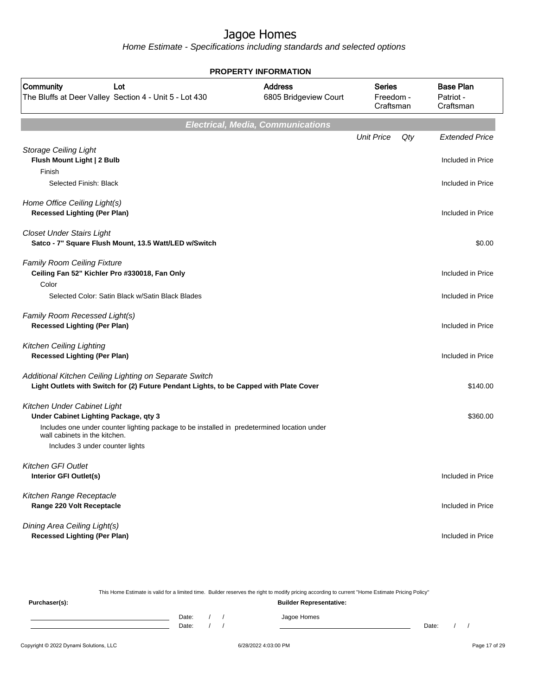Home Estimate - Specifications including standards and selected options

| <b>PROPERTY INFORMATION</b>                                                                                                                                         |                                          |                                         |                                            |  |  |  |  |
|---------------------------------------------------------------------------------------------------------------------------------------------------------------------|------------------------------------------|-----------------------------------------|--------------------------------------------|--|--|--|--|
| Community<br>Lot<br>The Bluffs at Deer Valley Section 4 - Unit 5 - Lot 430                                                                                          | <b>Address</b><br>6805 Bridgeview Court  | <b>Series</b><br>Freedom -<br>Craftsman | <b>Base Plan</b><br>Patriot -<br>Craftsman |  |  |  |  |
|                                                                                                                                                                     | <b>Electrical, Media, Communications</b> |                                         |                                            |  |  |  |  |
|                                                                                                                                                                     |                                          | <b>Unit Price</b>                       | Qty<br><b>Extended Price</b>               |  |  |  |  |
| <b>Storage Ceiling Light</b><br>Flush Mount Light   2 Bulb                                                                                                          |                                          |                                         | Included in Price                          |  |  |  |  |
| Finish<br>Selected Finish: Black                                                                                                                                    |                                          |                                         | Included in Price                          |  |  |  |  |
| Home Office Ceiling Light(s)<br><b>Recessed Lighting (Per Plan)</b>                                                                                                 |                                          |                                         | Included in Price                          |  |  |  |  |
| <b>Closet Under Stairs Light</b><br>Satco - 7" Square Flush Mount, 13.5 Watt/LED w/Switch                                                                           |                                          |                                         | \$0.00                                     |  |  |  |  |
| <b>Family Room Ceiling Fixture</b><br>Ceiling Fan 52" Kichler Pro #330018, Fan Only<br>Color                                                                        |                                          |                                         | Included in Price                          |  |  |  |  |
| Selected Color: Satin Black w/Satin Black Blades                                                                                                                    |                                          |                                         | Included in Price                          |  |  |  |  |
| Family Room Recessed Light(s)<br><b>Recessed Lighting (Per Plan)</b>                                                                                                |                                          |                                         | Included in Price                          |  |  |  |  |
| <b>Kitchen Ceiling Lighting</b><br><b>Recessed Lighting (Per Plan)</b>                                                                                              |                                          |                                         | Included in Price                          |  |  |  |  |
| Additional Kitchen Ceiling Lighting on Separate Switch<br>Light Outlets with Switch for (2) Future Pendant Lights, to be Capped with Plate Cover                    |                                          |                                         | \$140.00                                   |  |  |  |  |
| Kitchen Under Cabinet Light<br>Under Cabinet Lighting Package, qty 3<br>Includes one under counter lighting package to be installed in predetermined location under |                                          |                                         | \$360.00                                   |  |  |  |  |
| wall cabinets in the kitchen.<br>Includes 3 under counter lights                                                                                                    |                                          |                                         |                                            |  |  |  |  |
| Kitchen GFI Outlet<br><b>Interior GFI Outlet(s)</b>                                                                                                                 |                                          |                                         | Included in Price                          |  |  |  |  |
| Kitchen Range Receptacle<br>Range 220 Volt Receptacle                                                                                                               |                                          |                                         | Included in Price                          |  |  |  |  |
| Dining Area Ceiling Light(s)<br><b>Recessed Lighting (Per Plan)</b>                                                                                                 |                                          |                                         | Included in Price                          |  |  |  |  |

This Home Estimate is valid for a limited time. Builder reserves the right to modify pricing according to current "Home Estimate Pricing Policy" **Purchaser(s): Builder Representative:** Date: / / Jagoe Homes<br>Date: / / Jagoe Homes Date: / / **Date: / / 2006** Date: / / / Date: / / /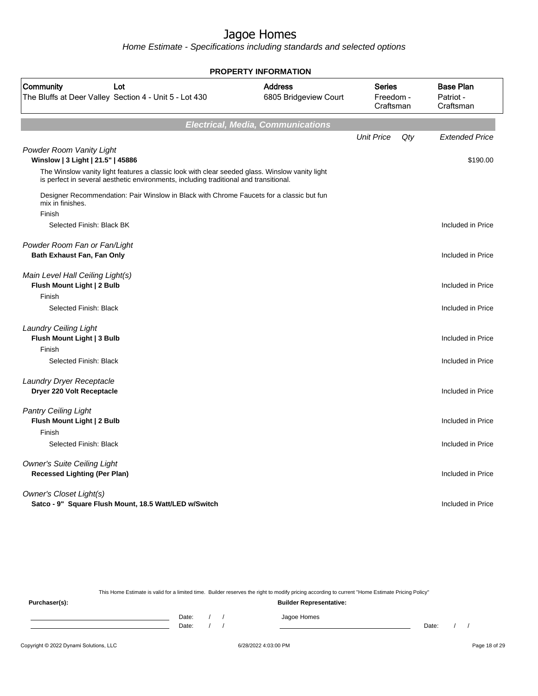Home Estimate - Specifications including standards and selected options

|                                                                                                                                                                                         |                                          | <b>PROPERTY INFORMATION</b>             |     |                                            |  |  |  |  |  |
|-----------------------------------------------------------------------------------------------------------------------------------------------------------------------------------------|------------------------------------------|-----------------------------------------|-----|--------------------------------------------|--|--|--|--|--|
| Community<br>Lot<br>The Bluffs at Deer Valley Section 4 - Unit 5 - Lot 430                                                                                                              | <b>Address</b><br>6805 Bridgeview Court  | <b>Series</b><br>Freedom -<br>Craftsman |     | <b>Base Plan</b><br>Patriot -<br>Craftsman |  |  |  |  |  |
|                                                                                                                                                                                         | <b>Electrical, Media, Communications</b> |                                         |     |                                            |  |  |  |  |  |
|                                                                                                                                                                                         |                                          | <b>Unit Price</b>                       | Qty | <b>Extended Price</b>                      |  |  |  |  |  |
| Powder Room Vanity Light<br>Winslow   3 Light   21.5"   45886                                                                                                                           |                                          |                                         |     | \$190.00                                   |  |  |  |  |  |
| The Winslow vanity light features a classic look with clear seeded glass. Winslow vanity light<br>is perfect in several aesthetic environments, including traditional and transitional. |                                          |                                         |     |                                            |  |  |  |  |  |
| Designer Recommendation: Pair Winslow in Black with Chrome Faucets for a classic but fun<br>mix in finishes.                                                                            |                                          |                                         |     |                                            |  |  |  |  |  |
| Finish                                                                                                                                                                                  |                                          |                                         |     |                                            |  |  |  |  |  |
| Selected Finish: Black BK                                                                                                                                                               |                                          |                                         |     | Included in Price                          |  |  |  |  |  |
| Powder Room Fan or Fan/Light                                                                                                                                                            |                                          |                                         |     |                                            |  |  |  |  |  |
| <b>Bath Exhaust Fan, Fan Only</b>                                                                                                                                                       |                                          |                                         |     | Included in Price                          |  |  |  |  |  |
| Main Level Hall Ceiling Light(s)                                                                                                                                                        |                                          |                                         |     |                                            |  |  |  |  |  |
| Flush Mount Light   2 Bulb                                                                                                                                                              |                                          |                                         |     | Included in Price                          |  |  |  |  |  |
| Finish                                                                                                                                                                                  |                                          |                                         |     |                                            |  |  |  |  |  |
| Selected Finish: Black                                                                                                                                                                  |                                          |                                         |     | Included in Price                          |  |  |  |  |  |
| <b>Laundry Ceiling Light</b>                                                                                                                                                            |                                          |                                         |     |                                            |  |  |  |  |  |
| Flush Mount Light   3 Bulb                                                                                                                                                              |                                          |                                         |     | Included in Price                          |  |  |  |  |  |
| Finish                                                                                                                                                                                  |                                          |                                         |     |                                            |  |  |  |  |  |
| Selected Finish: Black                                                                                                                                                                  |                                          |                                         |     | Included in Price                          |  |  |  |  |  |
| Laundry Dryer Receptacle                                                                                                                                                                |                                          |                                         |     |                                            |  |  |  |  |  |
| Dryer 220 Volt Receptacle                                                                                                                                                               |                                          |                                         |     | Included in Price                          |  |  |  |  |  |
| <b>Pantry Ceiling Light</b>                                                                                                                                                             |                                          |                                         |     |                                            |  |  |  |  |  |
| Flush Mount Light   2 Bulb                                                                                                                                                              |                                          |                                         |     | Included in Price                          |  |  |  |  |  |
| Finish                                                                                                                                                                                  |                                          |                                         |     |                                            |  |  |  |  |  |
| Selected Finish: Black                                                                                                                                                                  |                                          |                                         |     | Included in Price                          |  |  |  |  |  |
| <b>Owner's Suite Ceiling Light</b>                                                                                                                                                      |                                          |                                         |     |                                            |  |  |  |  |  |
| <b>Recessed Lighting (Per Plan)</b>                                                                                                                                                     |                                          |                                         |     | Included in Price                          |  |  |  |  |  |
| <b>Owner's Closet Light(s)</b>                                                                                                                                                          |                                          |                                         |     |                                            |  |  |  |  |  |
| Satco - 9" Square Flush Mount, 18.5 Watt/LED w/Switch                                                                                                                                   |                                          |                                         |     | Included in Price                          |  |  |  |  |  |
|                                                                                                                                                                                         |                                          |                                         |     |                                            |  |  |  |  |  |

This Home Estimate is valid for a limited time. Builder reserves the right to modify pricing according to current "Home Estimate Pricing Policy"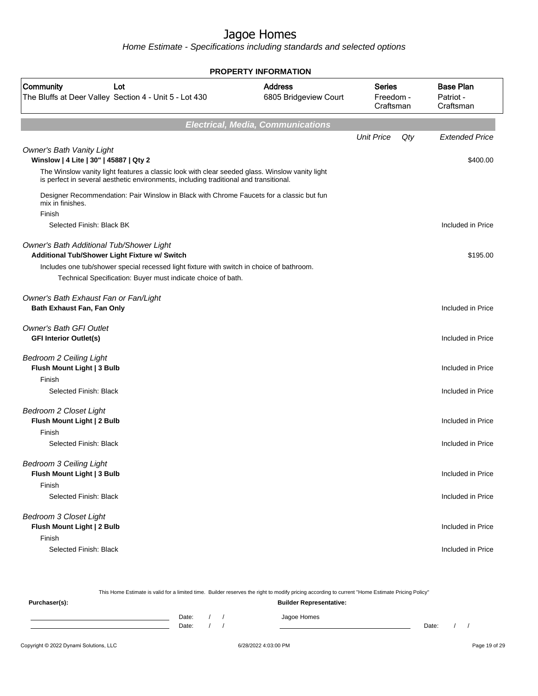|                                                                                                                                                                              |                                          |                                  |     | <b>PROPERTY INFORMATION</b>                |  |  |  |  |  |  |  |
|------------------------------------------------------------------------------------------------------------------------------------------------------------------------------|------------------------------------------|----------------------------------|-----|--------------------------------------------|--|--|--|--|--|--|--|
| Community<br>Lot<br>The Bluffs at Deer Valley Section 4 - Unit 5 - Lot 430                                                                                                   | <b>Address</b><br>6805 Bridgeview Court  | Series<br>Freedom -<br>Craftsman |     | <b>Base Plan</b><br>Patriot -<br>Craftsman |  |  |  |  |  |  |  |
|                                                                                                                                                                              | <b>Electrical, Media, Communications</b> |                                  |     |                                            |  |  |  |  |  |  |  |
|                                                                                                                                                                              |                                          | <b>Unit Price</b>                | Qty | <b>Extended Price</b>                      |  |  |  |  |  |  |  |
| <b>Owner's Bath Vanity Light</b><br>Winslow   4 Lite   30"   45887   Qty 2<br>The Winslow vanity light features a classic look with clear seeded glass. Winslow vanity light |                                          |                                  |     | \$400.00                                   |  |  |  |  |  |  |  |
| is perfect in several aesthetic environments, including traditional and transitional.                                                                                        |                                          |                                  |     |                                            |  |  |  |  |  |  |  |
| Designer Recommendation: Pair Winslow in Black with Chrome Faucets for a classic but fun<br>mix in finishes.<br>Finish                                                       |                                          |                                  |     |                                            |  |  |  |  |  |  |  |
| Selected Finish: Black BK                                                                                                                                                    |                                          |                                  |     | Included in Price                          |  |  |  |  |  |  |  |
| Owner's Bath Additional Tub/Shower Light<br>Additional Tub/Shower Light Fixture w/ Switch                                                                                    |                                          |                                  |     | \$195.00                                   |  |  |  |  |  |  |  |
| Includes one tub/shower special recessed light fixture with switch in choice of bathroom.<br>Technical Specification: Buyer must indicate choice of bath.                    |                                          |                                  |     |                                            |  |  |  |  |  |  |  |
| Owner's Bath Exhaust Fan or Fan/Light<br>Bath Exhaust Fan, Fan Only                                                                                                          |                                          |                                  |     | Included in Price                          |  |  |  |  |  |  |  |
| <b>Owner's Bath GFI Outlet</b><br><b>GFI Interior Outlet(s)</b>                                                                                                              |                                          |                                  |     | Included in Price                          |  |  |  |  |  |  |  |
| <b>Bedroom 2 Ceiling Light</b><br>Flush Mount Light   3 Bulb<br>Finish                                                                                                       |                                          |                                  |     | Included in Price                          |  |  |  |  |  |  |  |
| Selected Finish: Black                                                                                                                                                       |                                          |                                  |     | Included in Price                          |  |  |  |  |  |  |  |
| <b>Bedroom 2 Closet Light</b><br>Flush Mount Light   2 Bulb<br>Finish                                                                                                        |                                          |                                  |     | Included in Price                          |  |  |  |  |  |  |  |
| Selected Finish: Black                                                                                                                                                       |                                          |                                  |     | Included in Price                          |  |  |  |  |  |  |  |
| <b>Bedroom 3 Ceiling Light</b><br>Flush Mount Light   3 Bulb<br>Finish                                                                                                       |                                          |                                  |     | Included in Price                          |  |  |  |  |  |  |  |
| Selected Finish: Black                                                                                                                                                       |                                          |                                  |     | Included in Price                          |  |  |  |  |  |  |  |
| <b>Bedroom 3 Closet Light</b><br>Flush Mount Light   2 Bulb<br>Finish                                                                                                        |                                          |                                  |     | Included in Price                          |  |  |  |  |  |  |  |
| Selected Finish: Black                                                                                                                                                       |                                          |                                  |     | Included in Price                          |  |  |  |  |  |  |  |

|                                        | This Home Estimate is valid for a limited time. Builder reserves the right to modify pricing according to current "Home Estimate Pricing Policy" |  |  |                                |       |  |               |
|----------------------------------------|--------------------------------------------------------------------------------------------------------------------------------------------------|--|--|--------------------------------|-------|--|---------------|
| Purchaser(s):                          |                                                                                                                                                  |  |  | <b>Builder Representative:</b> |       |  |               |
|                                        | Date:<br>Date:                                                                                                                                   |  |  | Jagoe Homes                    | Date: |  |               |
| Copyright © 2022 Dynami Solutions, LLC |                                                                                                                                                  |  |  | 6/28/2022 4:03:00 PM           |       |  | Page 19 of 29 |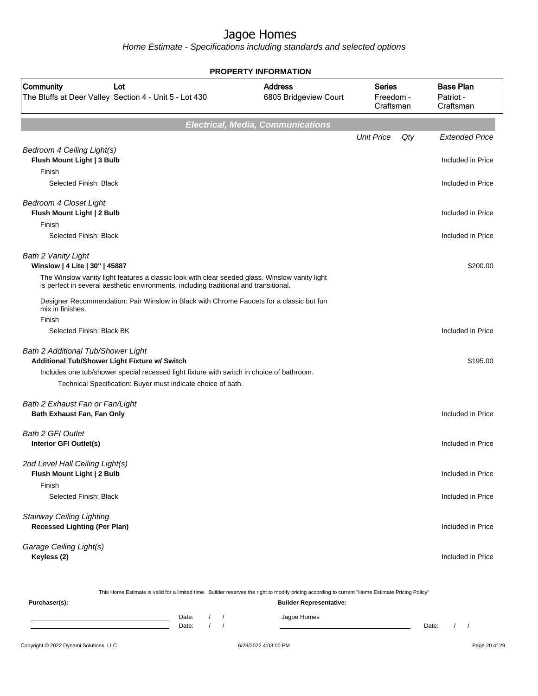Home Estimate - Specifications including standards and selected options

|                                                                                                                                                                                         | <b>PROPERTY INFORMATION</b>              |                                         |     |                                            |
|-----------------------------------------------------------------------------------------------------------------------------------------------------------------------------------------|------------------------------------------|-----------------------------------------|-----|--------------------------------------------|
| Community<br>Lot<br>The Bluffs at Deer Valley Section 4 - Unit 5 - Lot 430                                                                                                              | <b>Address</b><br>6805 Bridgeview Court  | <b>Series</b><br>Freedom -<br>Craftsman |     | <b>Base Plan</b><br>Patriot -<br>Craftsman |
|                                                                                                                                                                                         | <b>Electrical, Media, Communications</b> |                                         |     |                                            |
|                                                                                                                                                                                         |                                          | <b>Unit Price</b>                       | Qty | <b>Extended Price</b>                      |
| Bedroom 4 Ceiling Light(s)<br>Flush Mount Light   3 Bulb<br>Finish                                                                                                                      |                                          |                                         |     | Included in Price                          |
| Selected Finish: Black                                                                                                                                                                  |                                          |                                         |     | Included in Price                          |
| <b>Bedroom 4 Closet Light</b><br>Flush Mount Light   2 Bulb                                                                                                                             |                                          |                                         |     | Included in Price                          |
| Finish                                                                                                                                                                                  |                                          |                                         |     |                                            |
| Selected Finish: Black                                                                                                                                                                  |                                          |                                         |     | Included in Price                          |
| Bath 2 Vanity Light<br>Winslow   4 Lite   30"   45887                                                                                                                                   |                                          |                                         |     | \$200.00                                   |
| The Winslow vanity light features a classic look with clear seeded glass. Winslow vanity light<br>is perfect in several aesthetic environments, including traditional and transitional. |                                          |                                         |     |                                            |
| Designer Recommendation: Pair Winslow in Black with Chrome Faucets for a classic but fun<br>mix in finishes.<br>Finish                                                                  |                                          |                                         |     |                                            |
| Selected Finish: Black BK                                                                                                                                                               |                                          |                                         |     | Included in Price                          |
|                                                                                                                                                                                         |                                          |                                         |     |                                            |
| Bath 2 Additional Tub/Shower Light<br>Additional Tub/Shower Light Fixture w/ Switch                                                                                                     |                                          |                                         |     | \$195.00                                   |
| Includes one tub/shower special recessed light fixture with switch in choice of bathroom.                                                                                               |                                          |                                         |     |                                            |
| Technical Specification: Buyer must indicate choice of bath.                                                                                                                            |                                          |                                         |     |                                            |
| Bath 2 Exhaust Fan or Fan/Light                                                                                                                                                         |                                          |                                         |     |                                            |
| Bath Exhaust Fan, Fan Only                                                                                                                                                              |                                          |                                         |     | Included in Price                          |
| <b>Bath 2 GFI Outlet</b>                                                                                                                                                                |                                          |                                         |     |                                            |
| Interior GFI Outlet(s)                                                                                                                                                                  |                                          |                                         |     | Included in Price                          |
| 2nd Level Hall Ceiling Light(s)                                                                                                                                                         |                                          |                                         |     |                                            |
| Flush Mount Light   2 Bulb                                                                                                                                                              |                                          |                                         |     | Included in Price                          |
| Finish                                                                                                                                                                                  |                                          |                                         |     |                                            |
| Selected Finish: Black                                                                                                                                                                  |                                          |                                         |     | Included in Price                          |
| <b>Stairway Ceiling Lighting</b>                                                                                                                                                        |                                          |                                         |     |                                            |
| <b>Recessed Lighting (Per Plan)</b>                                                                                                                                                     |                                          |                                         |     | Included in Price                          |
| Garage Ceiling Light(s)                                                                                                                                                                 |                                          |                                         |     |                                            |
| Keyless (2)                                                                                                                                                                             |                                          |                                         |     | Included in Price                          |
|                                                                                                                                                                                         |                                          |                                         |     |                                            |

Copyright © 2022 Dynami Solutions, LLC <br>
6/28/2022 4:03:00 PM Page 20 of 29 This Home Estimate is valid for a limited time. Builder reserves the right to modify pricing according to current "Home Estimate Pricing Policy" **Purchaser(s): Builder Representative:** Date: / / Jagoe Homes<br>Date: / / Jagoe Homes Date: / / **Date: / / 2006** Date: / / / Date: / / /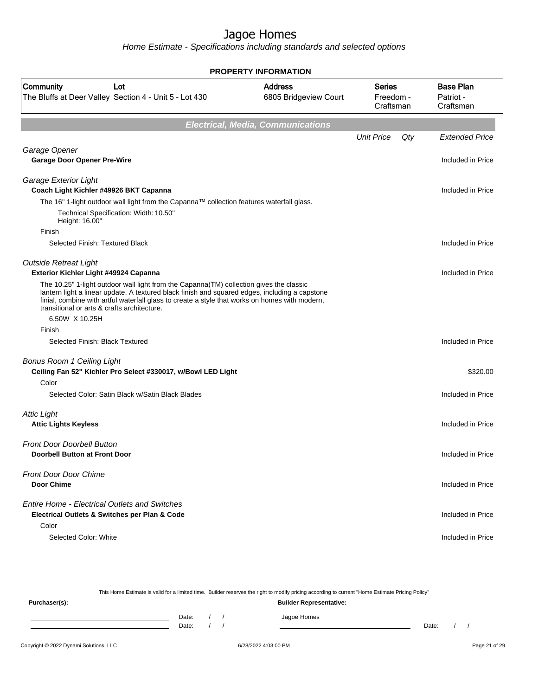Home Estimate - Specifications including standards and selected options

| <b>PROPERTY INFORMATION</b>                                                                                    |                                                                                                                                                                                                                                                                                             |                                          |                                         |     |                                            |  |  |
|----------------------------------------------------------------------------------------------------------------|---------------------------------------------------------------------------------------------------------------------------------------------------------------------------------------------------------------------------------------------------------------------------------------------|------------------------------------------|-----------------------------------------|-----|--------------------------------------------|--|--|
| Community                                                                                                      | Lot<br>The Bluffs at Deer Valley Section 4 - Unit 5 - Lot 430                                                                                                                                                                                                                               | <b>Address</b><br>6805 Bridgeview Court  | <b>Series</b><br>Freedom -<br>Craftsman |     | <b>Base Plan</b><br>Patriot -<br>Craftsman |  |  |
|                                                                                                                |                                                                                                                                                                                                                                                                                             | <b>Electrical, Media, Communications</b> |                                         |     |                                            |  |  |
|                                                                                                                |                                                                                                                                                                                                                                                                                             |                                          | <b>Unit Price</b>                       | Qty | <b>Extended Price</b>                      |  |  |
| Garage Opener<br><b>Garage Door Opener Pre-Wire</b>                                                            |                                                                                                                                                                                                                                                                                             |                                          |                                         |     | Included in Price                          |  |  |
| Garage Exterior Light<br>Coach Light Kichler #49926 BKT Capanna                                                |                                                                                                                                                                                                                                                                                             |                                          |                                         |     | Included in Price                          |  |  |
|                                                                                                                | The 16" 1-light outdoor wall light from the Capanna™ collection features waterfall glass.                                                                                                                                                                                                   |                                          |                                         |     |                                            |  |  |
| Height: 16.00"                                                                                                 | Technical Specification: Width: 10.50"                                                                                                                                                                                                                                                      |                                          |                                         |     |                                            |  |  |
| Finish<br>Selected Finish: Textured Black                                                                      |                                                                                                                                                                                                                                                                                             |                                          |                                         |     | Included in Price                          |  |  |
| <b>Outside Retreat Light</b><br>Exterior Kichler Light #49924 Capanna                                          |                                                                                                                                                                                                                                                                                             |                                          |                                         |     | Included in Price                          |  |  |
| transitional or arts & crafts architecture.                                                                    | The 10.25" 1-light outdoor wall light from the Capanna(TM) collection gives the classic<br>lantern light a linear update. A textured black finish and squared edges, including a capstone<br>finial, combine with artful waterfall glass to create a style that works on homes with modern, |                                          |                                         |     |                                            |  |  |
| 6.50W X 10.25H                                                                                                 |                                                                                                                                                                                                                                                                                             |                                          |                                         |     |                                            |  |  |
| Finish<br>Selected Finish: Black Textured                                                                      |                                                                                                                                                                                                                                                                                             |                                          |                                         |     | Included in Price                          |  |  |
| <b>Bonus Room 1 Ceiling Light</b>                                                                              | Ceiling Fan 52" Kichler Pro Select #330017, w/Bowl LED Light                                                                                                                                                                                                                                |                                          |                                         |     | \$320.00                                   |  |  |
| Color                                                                                                          |                                                                                                                                                                                                                                                                                             |                                          |                                         |     |                                            |  |  |
|                                                                                                                | Selected Color: Satin Black w/Satin Black Blades                                                                                                                                                                                                                                            |                                          |                                         |     | Included in Price                          |  |  |
| <b>Attic Light</b><br><b>Attic Lights Keyless</b>                                                              |                                                                                                                                                                                                                                                                                             |                                          |                                         |     | Included in Price                          |  |  |
| <b>Front Door Doorbell Button</b><br><b>Doorbell Button at Front Door</b>                                      |                                                                                                                                                                                                                                                                                             |                                          |                                         |     | Included in Price                          |  |  |
| <b>Front Door Door Chime</b><br><b>Door Chime</b>                                                              |                                                                                                                                                                                                                                                                                             |                                          |                                         |     | Included in Price                          |  |  |
| <b>Entire Home - Electrical Outlets and Switches</b><br>Electrical Outlets & Switches per Plan & Code<br>Color |                                                                                                                                                                                                                                                                                             |                                          |                                         |     | Included in Price                          |  |  |
| Selected Color: White                                                                                          |                                                                                                                                                                                                                                                                                             |                                          |                                         |     | Included in Price                          |  |  |

This Home Estimate is valid for a limited time. Builder reserves the right to modify pricing according to current "Home Estimate Pricing Policy" **Purchaser(s): Builder Representative:** Date: / / Jagoe Homes<br>Date: / / Jagoe Homes Date: / / **Date: / / 2006** Date: / / / Date: / / /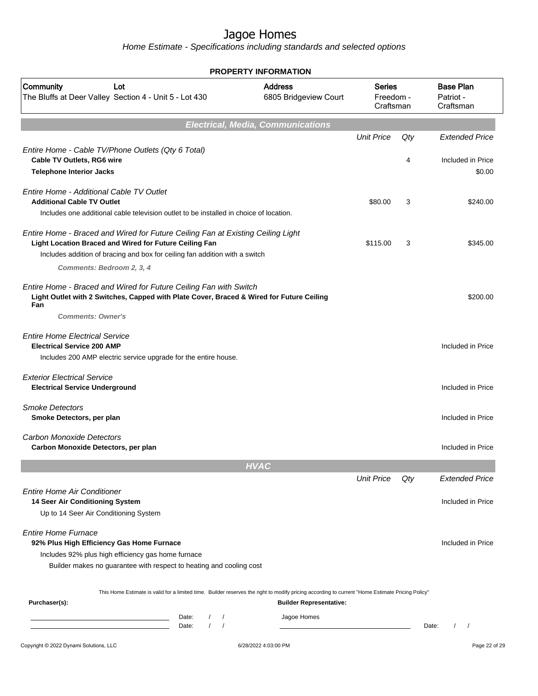|                                                                                                                                                                                                                                                       | <b>PROPERTY INFORMATION</b>              |                                         |          |                                                      |
|-------------------------------------------------------------------------------------------------------------------------------------------------------------------------------------------------------------------------------------------------------|------------------------------------------|-----------------------------------------|----------|------------------------------------------------------|
| Community<br>Lot<br>The Bluffs at Deer Valley Section 4 - Unit 5 - Lot 430                                                                                                                                                                            | <b>Address</b><br>6805 Bridgeview Court  | <b>Series</b><br>Freedom -<br>Craftsman |          | <b>Base Plan</b><br>Patriot -<br>Craftsman           |
|                                                                                                                                                                                                                                                       | <b>Electrical, Media, Communications</b> |                                         |          |                                                      |
| Entire Home - Cable TV/Phone Outlets (Qty 6 Total)<br><b>Cable TV Outlets, RG6 wire</b><br><b>Telephone Interior Jacks</b>                                                                                                                            |                                          | <b>Unit Price</b>                       | Qty<br>4 | <b>Extended Price</b><br>Included in Price<br>\$0.00 |
| Entire Home - Additional Cable TV Outlet<br><b>Additional Cable TV Outlet</b><br>Includes one additional cable television outlet to be installed in choice of location.                                                                               |                                          | \$80.00                                 | 3        | \$240.00                                             |
| Entire Home - Braced and Wired for Future Ceiling Fan at Existing Ceiling Light<br>Light Location Braced and Wired for Future Ceiling Fan<br>Includes addition of bracing and box for ceiling fan addition with a switch<br>Comments: Bedroom 2, 3, 4 |                                          | \$115.00                                | 3        | \$345.00                                             |
| Entire Home - Braced and Wired for Future Ceiling Fan with Switch<br>Light Outlet with 2 Switches, Capped with Plate Cover, Braced & Wired for Future Ceiling<br>Fan<br><b>Comments: Owner's</b>                                                      |                                          |                                         |          | \$200.00                                             |
| <b>Entire Home Electrical Service</b><br><b>Electrical Service 200 AMP</b><br>Includes 200 AMP electric service upgrade for the entire house.                                                                                                         |                                          |                                         |          | Included in Price                                    |
| <b>Exterior Electrical Service</b><br><b>Electrical Service Underground</b>                                                                                                                                                                           |                                          |                                         |          | Included in Price                                    |
| <b>Smoke Detectors</b><br>Smoke Detectors, per plan                                                                                                                                                                                                   |                                          |                                         |          | Included in Price                                    |
| <b>Carbon Monoxide Detectors</b><br>Carbon Monoxide Detectors, per plan                                                                                                                                                                               |                                          |                                         |          | Included in Price                                    |
|                                                                                                                                                                                                                                                       | <b>HVAC</b>                              |                                         |          |                                                      |
|                                                                                                                                                                                                                                                       |                                          | <b>Unit Price</b>                       | Qty      | <b>Extended Price</b>                                |
| <b>Entire Home Air Conditioner</b><br>14 Seer Air Conditioning System<br>Up to 14 Seer Air Conditioning System                                                                                                                                        |                                          |                                         |          | Included in Price                                    |
| <b>Entire Home Furnace</b><br>92% Plus High Efficiency Gas Home Furnace<br>Includes 92% plus high efficiency gas home furnace<br>Builder makes no guarantee with respect to heating and cooling cost                                                  |                                          |                                         |          | Included in Price                                    |
| This Home Estimate is valid for a limited time. Builder reserves the right to modify pricing according to current "Home Estimate Pricing Policy"                                                                                                      |                                          |                                         |          |                                                      |
| Purchaser(s):                                                                                                                                                                                                                                         | <b>Builder Representative:</b>           |                                         |          |                                                      |
| Date:<br>$\prime$<br>$\sqrt{ }$<br>Date:<br>the control of the control of the control of the control of the control of                                                                                                                                | Jagoe Homes                              |                                         |          | $\prime$<br>$\overline{\phantom{a}}$<br>Date:        |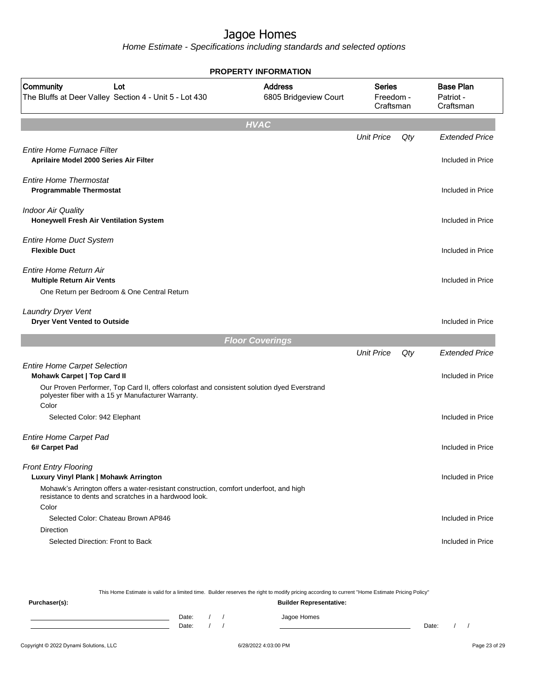|                                                                                                                                                                                                                        | PROPERTY INFORMATION                    |                                         |     |                                            |
|------------------------------------------------------------------------------------------------------------------------------------------------------------------------------------------------------------------------|-----------------------------------------|-----------------------------------------|-----|--------------------------------------------|
| Community<br>Lot<br>The Bluffs at Deer Valley Section 4 - Unit 5 - Lot 430                                                                                                                                             | <b>Address</b><br>6805 Bridgeview Court | <b>Series</b><br>Freedom -<br>Craftsman |     | <b>Base Plan</b><br>Patriot -<br>Craftsman |
|                                                                                                                                                                                                                        | <b>HVAC</b>                             |                                         |     |                                            |
|                                                                                                                                                                                                                        |                                         | <b>Unit Price</b>                       | Qty | <b>Extended Price</b>                      |
| <b>Entire Home Furnace Filter</b><br>Aprilaire Model 2000 Series Air Filter                                                                                                                                            |                                         |                                         |     | Included in Price                          |
| <b>Entire Home Thermostat</b><br><b>Programmable Thermostat</b>                                                                                                                                                        |                                         |                                         |     | Included in Price                          |
| <b>Indoor Air Quality</b><br>Honeywell Fresh Air Ventilation System                                                                                                                                                    |                                         |                                         |     | Included in Price                          |
| <b>Entire Home Duct System</b><br><b>Flexible Duct</b>                                                                                                                                                                 |                                         |                                         |     | Included in Price                          |
| Entire Home Return Air<br><b>Multiple Return Air Vents</b><br>One Return per Bedroom & One Central Return                                                                                                              |                                         |                                         |     | Included in Price                          |
| <b>Laundry Dryer Vent</b><br><b>Dryer Vent Vented to Outside</b>                                                                                                                                                       |                                         |                                         |     | Included in Price                          |
|                                                                                                                                                                                                                        | <b>Floor Coverings</b>                  |                                         |     |                                            |
|                                                                                                                                                                                                                        |                                         | <b>Unit Price</b>                       | Qty | <b>Extended Price</b>                      |
| <b>Entire Home Carpet Selection</b><br>Mohawk Carpet   Top Card II                                                                                                                                                     |                                         |                                         |     | Included in Price                          |
| Our Proven Performer, Top Card II, offers colorfast and consistent solution dyed Everstrand<br>polyester fiber with a 15 yr Manufacturer Warranty.<br>Color                                                            |                                         |                                         |     |                                            |
| Selected Color: 942 Elephant                                                                                                                                                                                           |                                         |                                         |     | Included in Price                          |
| <b>Entire Home Carpet Pad</b><br>6# Carpet Pad                                                                                                                                                                         |                                         |                                         |     | Included in Price                          |
| <b>Front Entry Flooring</b><br>Luxury Vinyl Plank   Mohawk Arrington<br>Mohawk's Arrington offers a water-resistant construction, comfort underfoot, and high<br>resistance to dents and scratches in a hardwood look. |                                         |                                         |     | Included in Price                          |
| Color<br>Selected Color: Chateau Brown AP846                                                                                                                                                                           |                                         |                                         |     | Included in Price                          |
| <b>Direction</b>                                                                                                                                                                                                       |                                         |                                         |     |                                            |
| Selected Direction: Front to Back                                                                                                                                                                                      |                                         |                                         |     | Included in Price                          |
|                                                                                                                                                                                                                        |                                         |                                         |     |                                            |

| This Home Estimate is valid for a limited time. Builder reserves the right to modify pricing according to current "Home Estimate Pricing Policy" |  |                                |  |  |             |       |  |  |
|--------------------------------------------------------------------------------------------------------------------------------------------------|--|--------------------------------|--|--|-------------|-------|--|--|
| Purchaser(s):                                                                                                                                    |  | <b>Builder Representative:</b> |  |  |             |       |  |  |
|                                                                                                                                                  |  | Date:                          |  |  | Jagoe Homes |       |  |  |
|                                                                                                                                                  |  | Date:                          |  |  |             | Date: |  |  |
|                                                                                                                                                  |  |                                |  |  |             |       |  |  |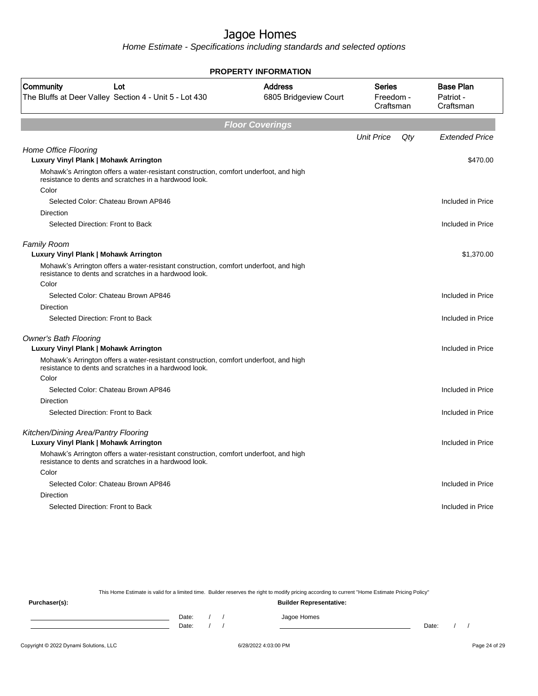Home Estimate - Specifications including standards and selected options

| <b>PROPERTY INFORMATION</b>                                                                                                                    |                                         |                                         |     |                                            |  |  |
|------------------------------------------------------------------------------------------------------------------------------------------------|-----------------------------------------|-----------------------------------------|-----|--------------------------------------------|--|--|
| Community<br>Lot<br>The Bluffs at Deer Valley Section 4 - Unit 5 - Lot 430                                                                     | <b>Address</b><br>6805 Bridgeview Court | <b>Series</b><br>Freedom -<br>Craftsman |     | <b>Base Plan</b><br>Patriot -<br>Craftsman |  |  |
|                                                                                                                                                | <b>Floor Coverings</b>                  |                                         |     |                                            |  |  |
|                                                                                                                                                |                                         | <b>Unit Price</b>                       | Qty | <b>Extended Price</b>                      |  |  |
| Home Office Flooring<br>Luxury Vinyl Plank   Mohawk Arrington                                                                                  |                                         |                                         |     | \$470.00                                   |  |  |
| Mohawk's Arrington offers a water-resistant construction, comfort underfoot, and high<br>resistance to dents and scratches in a hardwood look. |                                         |                                         |     |                                            |  |  |
| Color                                                                                                                                          |                                         |                                         |     |                                            |  |  |
| Selected Color: Chateau Brown AP846                                                                                                            |                                         |                                         |     | Included in Price                          |  |  |
| Direction                                                                                                                                      |                                         |                                         |     |                                            |  |  |
| Selected Direction: Front to Back                                                                                                              |                                         |                                         |     | Included in Price                          |  |  |
| <b>Family Room</b>                                                                                                                             |                                         |                                         |     |                                            |  |  |
| Luxury Vinyl Plank   Mohawk Arrington                                                                                                          |                                         |                                         |     | \$1,370.00                                 |  |  |
| Mohawk's Arrington offers a water-resistant construction, comfort underfoot, and high<br>resistance to dents and scratches in a hardwood look. |                                         |                                         |     |                                            |  |  |
| Color                                                                                                                                          |                                         |                                         |     |                                            |  |  |
| Selected Color: Chateau Brown AP846                                                                                                            |                                         |                                         |     | Included in Price                          |  |  |
| Direction                                                                                                                                      |                                         |                                         |     |                                            |  |  |
| Selected Direction: Front to Back                                                                                                              |                                         |                                         |     | Included in Price                          |  |  |
| <b>Owner's Bath Flooring</b>                                                                                                                   |                                         |                                         |     |                                            |  |  |
| Luxury Vinyl Plank   Mohawk Arrington                                                                                                          |                                         |                                         |     | Included in Price                          |  |  |
| Mohawk's Arrington offers a water-resistant construction, comfort underfoot, and high<br>resistance to dents and scratches in a hardwood look. |                                         |                                         |     |                                            |  |  |
| Color                                                                                                                                          |                                         |                                         |     |                                            |  |  |
| Selected Color: Chateau Brown AP846                                                                                                            |                                         |                                         |     | Included in Price                          |  |  |
| <b>Direction</b>                                                                                                                               |                                         |                                         |     |                                            |  |  |
| Selected Direction: Front to Back                                                                                                              |                                         |                                         |     | Included in Price                          |  |  |
| Kitchen/Dining Area/Pantry Flooring                                                                                                            |                                         |                                         |     |                                            |  |  |
| Luxury Vinyl Plank   Mohawk Arrington                                                                                                          |                                         |                                         |     | Included in Price                          |  |  |
| Mohawk's Arrington offers a water-resistant construction, comfort underfoot, and high<br>resistance to dents and scratches in a hardwood look. |                                         |                                         |     |                                            |  |  |
| Color                                                                                                                                          |                                         |                                         |     |                                            |  |  |
| Selected Color: Chateau Brown AP846                                                                                                            |                                         |                                         |     | Included in Price                          |  |  |
| <b>Direction</b>                                                                                                                               |                                         |                                         |     |                                            |  |  |
| Selected Direction: Front to Back                                                                                                              |                                         |                                         |     | Included in Price                          |  |  |
|                                                                                                                                                |                                         |                                         |     |                                            |  |  |

This Home Estimate is valid for a limited time. Builder reserves the right to modify pricing according to current "Home Estimate Pricing Policy"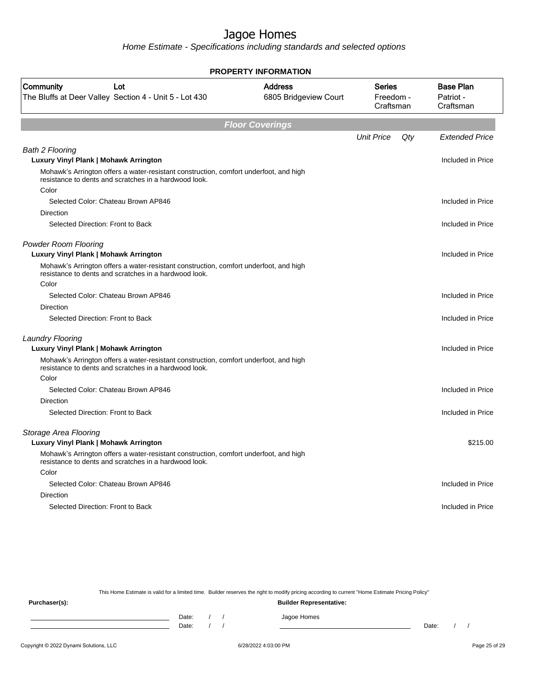Home Estimate - Specifications including standards and selected options

|                                                                                                                                                | <b>PROPERTY INFORMATION</b>             |                                         |     |                                            |
|------------------------------------------------------------------------------------------------------------------------------------------------|-----------------------------------------|-----------------------------------------|-----|--------------------------------------------|
| Community<br>Lot<br>The Bluffs at Deer Valley Section 4 - Unit 5 - Lot 430                                                                     | <b>Address</b><br>6805 Bridgeview Court | <b>Series</b><br>Freedom -<br>Craftsman |     | <b>Base Plan</b><br>Patriot -<br>Craftsman |
|                                                                                                                                                | <b>Floor Coverings</b>                  |                                         |     |                                            |
|                                                                                                                                                |                                         | <b>Unit Price</b>                       | Qty | <b>Extended Price</b>                      |
| <b>Bath 2 Flooring</b>                                                                                                                         |                                         |                                         |     |                                            |
| Luxury Vinyl Plank   Mohawk Arrington                                                                                                          |                                         |                                         |     | Included in Price                          |
| Mohawk's Arrington offers a water-resistant construction, comfort underfoot, and high<br>resistance to dents and scratches in a hardwood look. |                                         |                                         |     |                                            |
| Color                                                                                                                                          |                                         |                                         |     |                                            |
| Selected Color: Chateau Brown AP846                                                                                                            |                                         |                                         |     | Included in Price                          |
| Direction                                                                                                                                      |                                         |                                         |     |                                            |
| Selected Direction: Front to Back                                                                                                              |                                         |                                         |     | Included in Price                          |
| <b>Powder Room Flooring</b><br>Luxury Vinyl Plank   Mohawk Arrington                                                                           |                                         |                                         |     | Included in Price                          |
| Mohawk's Arrington offers a water-resistant construction, comfort underfoot, and high<br>resistance to dents and scratches in a hardwood look. |                                         |                                         |     |                                            |
| Color                                                                                                                                          |                                         |                                         |     |                                            |
| Selected Color: Chateau Brown AP846                                                                                                            |                                         |                                         |     | Included in Price                          |
| Direction                                                                                                                                      |                                         |                                         |     |                                            |
| Selected Direction: Front to Back                                                                                                              |                                         |                                         |     | Included in Price                          |
| Laundry Flooring                                                                                                                               |                                         |                                         |     |                                            |
| Luxury Vinyl Plank   Mohawk Arrington                                                                                                          |                                         |                                         |     | Included in Price                          |
| Mohawk's Arrington offers a water-resistant construction, comfort underfoot, and high<br>resistance to dents and scratches in a hardwood look. |                                         |                                         |     |                                            |
| Color                                                                                                                                          |                                         |                                         |     |                                            |
| Selected Color: Chateau Brown AP846                                                                                                            |                                         |                                         |     | Included in Price                          |
| <b>Direction</b>                                                                                                                               |                                         |                                         |     |                                            |
| Selected Direction: Front to Back                                                                                                              |                                         |                                         |     | Included in Price                          |
| Storage Area Flooring                                                                                                                          |                                         |                                         |     |                                            |
| Luxury Vinyl Plank   Mohawk Arrington                                                                                                          |                                         |                                         |     | \$215.00                                   |
| Mohawk's Arrington offers a water-resistant construction, comfort underfoot, and high<br>resistance to dents and scratches in a hardwood look. |                                         |                                         |     |                                            |
| Color                                                                                                                                          |                                         |                                         |     |                                            |
| Selected Color: Chateau Brown AP846                                                                                                            |                                         |                                         |     | Included in Price                          |
| <b>Direction</b>                                                                                                                               |                                         |                                         |     |                                            |
| Selected Direction: Front to Back                                                                                                              |                                         |                                         |     | Included in Price                          |
|                                                                                                                                                |                                         |                                         |     |                                            |

This Home Estimate is valid for a limited time. Builder reserves the right to modify pricing according to current "Home Estimate Pricing Policy"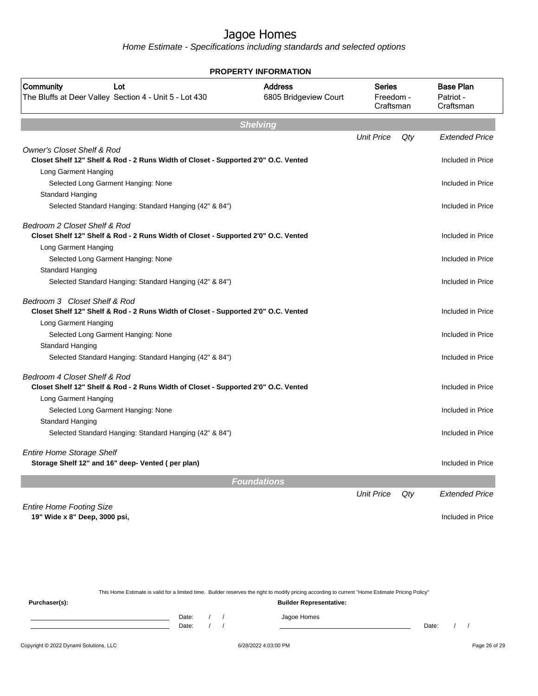Home Estimate - Specifications including standards and selected options

| PROPERTY INFORMATION                                                                                                        |                                         |                                  |     |                                            |  |  |  |
|-----------------------------------------------------------------------------------------------------------------------------|-----------------------------------------|----------------------------------|-----|--------------------------------------------|--|--|--|
| Community<br>Lot<br>The Bluffs at Deer Valley Section 4 - Unit 5 - Lot 430                                                  | <b>Address</b><br>6805 Bridgeview Court | Series<br>Freedom -<br>Craftsman |     | <b>Base Plan</b><br>Patriot -<br>Craftsman |  |  |  |
|                                                                                                                             | <b>Shelving</b>                         |                                  |     |                                            |  |  |  |
|                                                                                                                             |                                         | <b>Unit Price</b>                | Qty | <b>Extended Price</b>                      |  |  |  |
| <b>Owner's Closet Shelf &amp; Rod</b><br>Closet Shelf 12" Shelf & Rod - 2 Runs Width of Closet - Supported 2'0" O.C. Vented |                                         |                                  |     | Included in Price                          |  |  |  |
| Long Garment Hanging                                                                                                        |                                         |                                  |     |                                            |  |  |  |
| Selected Long Garment Hanging: None                                                                                         |                                         |                                  |     | Included in Price                          |  |  |  |
| Standard Hanging                                                                                                            |                                         |                                  |     |                                            |  |  |  |
| Selected Standard Hanging: Standard Hanging (42" & 84")                                                                     |                                         |                                  |     | Included in Price                          |  |  |  |
| Bedroom 2 Closet Shelf & Rod                                                                                                |                                         |                                  |     |                                            |  |  |  |
| Closet Shelf 12" Shelf & Rod - 2 Runs Width of Closet - Supported 2'0" O.C. Vented                                          |                                         |                                  |     | Included in Price                          |  |  |  |
| Long Garment Hanging                                                                                                        |                                         |                                  |     |                                            |  |  |  |
| Selected Long Garment Hanging: None                                                                                         |                                         |                                  |     | Included in Price                          |  |  |  |
| Standard Hanging<br>Selected Standard Hanging: Standard Hanging (42" & 84")                                                 |                                         |                                  |     | Included in Price                          |  |  |  |
|                                                                                                                             |                                         |                                  |     |                                            |  |  |  |
| Bedroom 3 Closet Shelf & Rod<br>Closet Shelf 12" Shelf & Rod - 2 Runs Width of Closet - Supported 2'0" O.C. Vented          |                                         |                                  |     | Included in Price                          |  |  |  |
| Long Garment Hanging                                                                                                        |                                         |                                  |     |                                            |  |  |  |
| Selected Long Garment Hanging: None                                                                                         |                                         |                                  |     | Included in Price                          |  |  |  |
| Standard Hanging                                                                                                            |                                         |                                  |     |                                            |  |  |  |
| Selected Standard Hanging: Standard Hanging (42" & 84")                                                                     |                                         |                                  |     | Included in Price                          |  |  |  |
| Bedroom 4 Closet Shelf & Rod                                                                                                |                                         |                                  |     |                                            |  |  |  |
| Closet Shelf 12" Shelf & Rod - 2 Runs Width of Closet - Supported 2'0" O.C. Vented                                          |                                         |                                  |     | Included in Price                          |  |  |  |
| Long Garment Hanging                                                                                                        |                                         |                                  |     |                                            |  |  |  |
| Selected Long Garment Hanging: None                                                                                         |                                         |                                  |     | Included in Price                          |  |  |  |
| Standard Hanging                                                                                                            |                                         |                                  |     |                                            |  |  |  |
| Selected Standard Hanging: Standard Hanging (42" & 84")                                                                     |                                         |                                  |     | Included in Price                          |  |  |  |
| <b>Entire Home Storage Shelf</b>                                                                                            |                                         |                                  |     |                                            |  |  |  |
| Storage Shelf 12" and 16" deep- Vented (per plan)                                                                           |                                         |                                  |     | Included in Price                          |  |  |  |
|                                                                                                                             |                                         |                                  |     |                                            |  |  |  |
|                                                                                                                             | <b>Foundations</b>                      |                                  |     |                                            |  |  |  |
|                                                                                                                             |                                         | <b>Unit Price</b>                | Qty | <b>Extended Price</b>                      |  |  |  |
| <b>Entire Home Footing Size</b>                                                                                             |                                         |                                  |     |                                            |  |  |  |
| 19" Wide x 8" Deep, 3000 psi,                                                                                               |                                         |                                  |     | Included in Price                          |  |  |  |
|                                                                                                                             |                                         |                                  |     |                                            |  |  |  |

This Home Estimate is valid for a limited time. Builder reserves the right to modify pricing according to current "Home Estimate Pricing Policy" **Purchaser(s): Builder Representative:** Date: / / Jagoe Homes<br>Date: / / Jagoe Homes Date: / / **Date: / / 2006** Date: / / / Date: / / /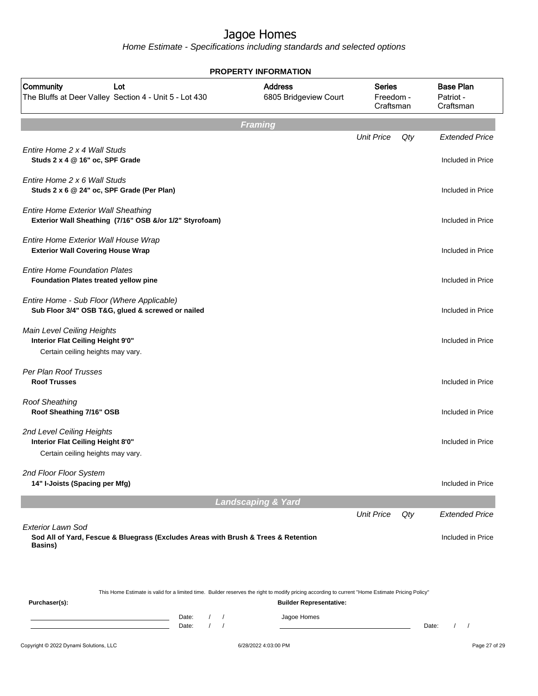|                                                                                                                                                                              | <b>PROPERTY INFORMATION</b>             |                                         |     |                                            |
|------------------------------------------------------------------------------------------------------------------------------------------------------------------------------|-----------------------------------------|-----------------------------------------|-----|--------------------------------------------|
| Community<br>Lot<br>The Bluffs at Deer Valley Section 4 - Unit 5 - Lot 430                                                                                                   | <b>Address</b><br>6805 Bridgeview Court | <b>Series</b><br>Freedom -<br>Craftsman |     | <b>Base Plan</b><br>Patriot -<br>Craftsman |
|                                                                                                                                                                              | <b>Framing</b>                          |                                         |     |                                            |
| Entire Home 2 x 4 Wall Studs<br>Studs 2 x 4 @ 16" oc, SPF Grade                                                                                                              |                                         | <b>Unit Price</b>                       | Qty | <b>Extended Price</b><br>Included in Price |
| Entire Home 2 x 6 Wall Studs<br>Studs 2 x 6 @ 24" oc, SPF Grade (Per Plan)                                                                                                   |                                         |                                         |     | Included in Price                          |
| <b>Entire Home Exterior Wall Sheathing</b><br>Exterior Wall Sheathing (7/16" OSB &/or 1/2" Styrofoam)                                                                        |                                         |                                         |     | Included in Price                          |
| Entire Home Exterior Wall House Wrap<br><b>Exterior Wall Covering House Wrap</b>                                                                                             |                                         |                                         |     | Included in Price                          |
| <b>Entire Home Foundation Plates</b><br>Foundation Plates treated yellow pine                                                                                                |                                         |                                         |     | Included in Price                          |
| Entire Home - Sub Floor (Where Applicable)<br>Sub Floor 3/4" OSB T&G, glued & screwed or nailed                                                                              |                                         |                                         |     | Included in Price                          |
| Main Level Ceiling Heights<br>Interior Flat Ceiling Height 9'0"<br>Certain ceiling heights may vary.                                                                         |                                         |                                         |     | Included in Price                          |
| Per Plan Roof Trusses<br><b>Roof Trusses</b>                                                                                                                                 |                                         |                                         |     | Included in Price                          |
| <b>Roof Sheathing</b><br>Roof Sheathing 7/16" OSB                                                                                                                            |                                         |                                         |     | Included in Price                          |
| 2nd Level Ceiling Heights<br>Interior Flat Ceiling Height 8'0"<br>Certain ceiling heights may vary.                                                                          |                                         |                                         |     | Included in Price                          |
| 2nd Floor Floor System<br>14" I-Joists (Spacing per Mfg)                                                                                                                     |                                         |                                         |     | Included in Price                          |
|                                                                                                                                                                              | <b>Landscaping &amp; Yard</b>           |                                         |     |                                            |
| <b>Exterior Lawn Sod</b>                                                                                                                                                     |                                         | <b>Unit Price</b>                       | Qty | <b>Extended Price</b>                      |
| Sod All of Yard, Fescue & Bluegrass (Excludes Areas with Brush & Trees & Retention<br><b>Basins</b> )                                                                        |                                         |                                         |     | Included in Price                          |
| This Home Estimate is valid for a limited time. Builder reserves the right to modify pricing according to current "Home Estimate Pricing Policy"<br>Purchaser(s):            | <b>Builder Representative:</b>          |                                         |     |                                            |
| Date:<br>$\sqrt{2}$<br>$\prime$<br><u> 1989 - Johann Barn, mars ann an t-Amhain Aonaich an t-Aonaich an t-Aonaich ann an t-Aonaich ann an t-Aonaich</u><br>$\prime$<br>Date: | Jagoe Homes                             |                                         |     | Date:                                      |
| Copyright © 2022 Dynami Solutions, LLC                                                                                                                                       | 6/28/2022 4:03:00 PM                    |                                         |     | Page 27 of 29                              |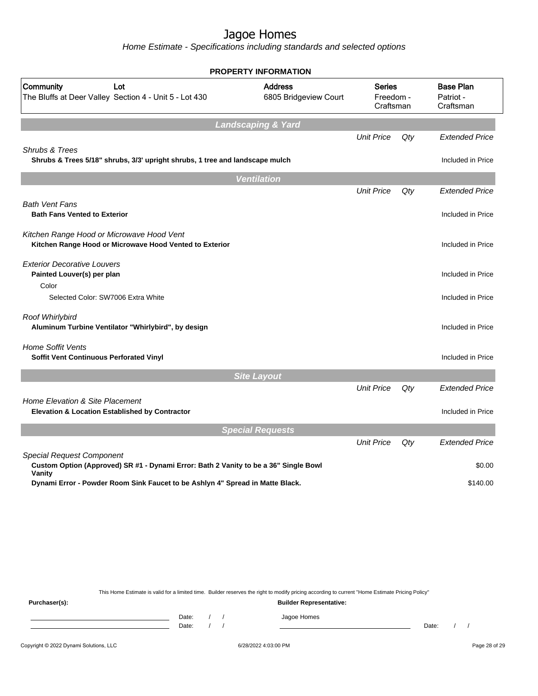Home Estimate - Specifications including standards and selected options

|                                                                                                                                    | <b>PROPERTY INFORMATION</b>             |                                         |     |                                            |
|------------------------------------------------------------------------------------------------------------------------------------|-----------------------------------------|-----------------------------------------|-----|--------------------------------------------|
| Community<br>Lot<br>The Bluffs at Deer Valley Section 4 - Unit 5 - Lot 430                                                         | <b>Address</b><br>6805 Bridgeview Court | <b>Series</b><br>Freedom -<br>Craftsman |     | <b>Base Plan</b><br>Patriot -<br>Craftsman |
|                                                                                                                                    | <b>Landscaping &amp; Yard</b>           |                                         |     |                                            |
| Shrubs & Trees                                                                                                                     |                                         | <b>Unit Price</b>                       | Qty | <b>Extended Price</b>                      |
| Shrubs & Trees 5/18" shrubs, 3/3' upright shrubs, 1 tree and landscape mulch                                                       |                                         |                                         |     | Included in Price                          |
|                                                                                                                                    | <b>Ventilation</b>                      |                                         |     |                                            |
|                                                                                                                                    |                                         | <b>Unit Price</b>                       | Qty | <b>Extended Price</b>                      |
| <b>Bath Vent Fans</b><br><b>Bath Fans Vented to Exterior</b>                                                                       |                                         |                                         |     | Included in Price                          |
| Kitchen Range Hood or Microwave Hood Vent<br>Kitchen Range Hood or Microwave Hood Vented to Exterior                               |                                         |                                         |     | Included in Price                          |
| <b>Exterior Decorative Louvers</b><br>Painted Louver(s) per plan<br>Color                                                          |                                         |                                         |     | Included in Price                          |
| Selected Color: SW7006 Extra White                                                                                                 |                                         |                                         |     | Included in Price                          |
| Roof Whirlybird<br>Aluminum Turbine Ventilator "Whirlybird", by design                                                             |                                         |                                         |     | Included in Price                          |
| <b>Home Soffit Vents</b><br>Soffit Vent Continuous Perforated Vinyl                                                                |                                         |                                         |     | Included in Price                          |
|                                                                                                                                    | <b>Site Layout</b>                      |                                         |     |                                            |
| Home Elevation & Site Placement                                                                                                    |                                         | <b>Unit Price</b>                       | Qty | <b>Extended Price</b>                      |
| <b>Elevation &amp; Location Established by Contractor</b>                                                                          |                                         |                                         |     | Included in Price                          |
|                                                                                                                                    | <b>Special Requests</b>                 |                                         |     |                                            |
|                                                                                                                                    |                                         | <b>Unit Price</b>                       | Qty | <b>Extended Price</b>                      |
| <b>Special Request Component</b><br>Custom Option (Approved) SR #1 - Dynami Error: Bath 2 Vanity to be a 36" Single Bowl<br>Vanity |                                         |                                         |     | \$0.00                                     |
| Dynami Error - Powder Room Sink Faucet to be Ashlyn 4" Spread in Matte Black.                                                      |                                         |                                         |     | \$140.00                                   |

This Home Estimate is valid for a limited time. Builder reserves the right to modify pricing according to current "Home Estimate Pricing Policy"